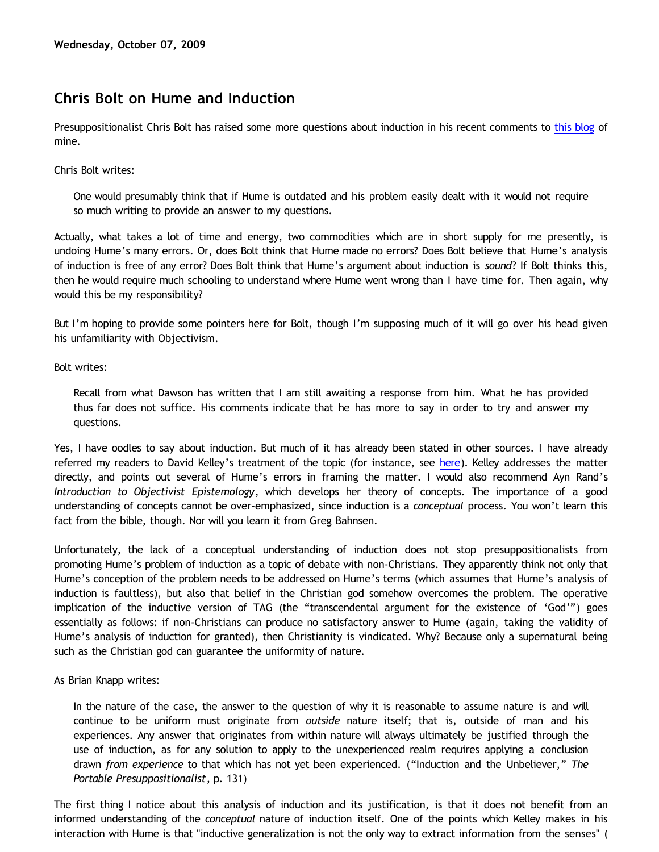# **Chris Bolt on Hume and Induction**

Presuppositionalist Chris Bolt has raised some more questions about induction in his recent comments to [this blog](http://bahnsenburner.blogspot.com/2009/09/can-water-in-my-drinking-glass-turn.html) of mine.

Chris Bolt writes:

One would presumably think that if Hume is outdated and his problem easily dealt with it would not require so much writing to provide an answer to my questions.

Actually, what takes a lot of time and energy, two commodities which are in short supply for me presently, is undoing Hume's many errors. Or, does Bolt think that Hume made no errors? Does Bolt believe that Hume's analysis of induction is free of any error? Does Bolt think that Hume's argument about induction is *sound*? If Bolt thinks this, then he would require much schooling to understand where Hume went wrong than I have time for. Then again, why would this be my responsibility?

But I'm hoping to provide some pointers here for Bolt, though I'm supposing much of it will go over his head given his unfamiliarity with Objectivism.

Bolt writes:

Recall from what Dawson has written that I am still awaiting a response from him. What he has provided thus far does not suffice. His comments indicate that he has more to say in order to try and answer my questions.

Yes, I have oodles to say about induction. But much of it has already been stated in other sources. I have already referred my readers to David Kelley's treatment of the topic (for instance, see [here](http://bahnsenburner.blogspot.com/2009/08/razorskiss-on-christian-god-as-basis-of_26.html)). Kelley addresses the matter directly, and points out several of Hume's errors in framing the matter. I would also recommend Ayn Rand's *Introduction to Objectivist Epistemology*, which develops her theory of concepts. The importance of a good understanding of concepts cannot be over-emphasized, since induction is a *conceptual* process. You won't learn this fact from the bible, though. Nor will you learn it from Greg Bahnsen.

Unfortunately, the lack of a conceptual understanding of induction does not stop presuppositionalists from promoting Hume's problem of induction as a topic of debate with non-Christians. They apparently think not only that Hume's conception of the problem needs to be addressed on Hume's terms (which assumes that Hume's analysis of induction is faultless), but also that belief in the Christian god somehow overcomes the problem. The operative implication of the inductive version of TAG (the "transcendental argument for the existence of 'God'") goes essentially as follows: if non-Christians can produce no satisfactory answer to Hume (again, taking the validity of Hume's analysis of induction for granted), then Christianity is vindicated. Why? Because only a supernatural being such as the Christian god can guarantee the uniformity of nature.

As Brian Knapp writes:

In the nature of the case, the answer to the question of why it is reasonable to assume nature is and will continue to be uniform must originate from *outside* nature itself; that is, outside of man and his experiences. Any answer that originates from within nature will always ultimately be justified through the use of induction, as for any solution to apply to the unexperienced realm requires applying a conclusion drawn *from experience* to that which has not yet been experienced. ("Induction and the Unbeliever," *The Portable Presuppositionalist*, p. 131)

The first thing I notice about this analysis of induction and its justification, is that it does not benefit from an informed understanding of the *conceptual* nature of induction itself. One of the points which Kelley makes in his interaction with Hume is that "inductive generalization is not the only way to extract information from the senses" (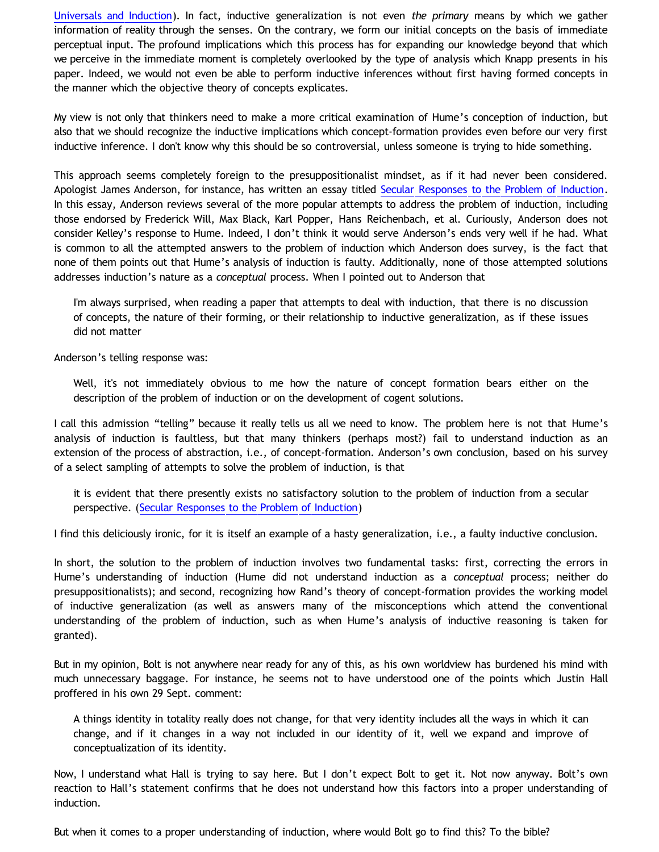[Universals and Induction](http://www.storestage.com/toc/store/comersus_viewItem.asp?idProduct=34)). In fact, inductive generalization is not even *the primary* means by which we gather information of reality through the senses. On the contrary, we form our initial concepts on the basis of immediate perceptual input. The profound implications which this process has for expanding our knowledge beyond that which we perceive in the immediate moment is completely overlooked by the type of analysis which Knapp presents in his paper. Indeed, we would not even be able to perform inductive inferences without first having formed concepts in the manner which the objective theory of concepts explicates.

My view is not only that thinkers need to make a more critical examination of Hume's conception of induction, but also that we should recognize the inductive implications which concept-formation provides even before our very first inductive inference. I don't know why this should be so controversial, unless someone is trying to hide something.

This approach seems completely foreign to the presuppositionalist mindset, as if it had never been considered. Apologist James Anderson, for instance, has written an essay titled [Secular Responses to the Problem of Induction.](http://www.proginosko.com/docs/induction.html) In this essay, Anderson reviews several of the more popular attempts to address the problem of induction, including those endorsed by Frederick Will, Max Black, Karl Popper, Hans Reichenbach, et al. Curiously, Anderson does not consider Kelley's response to Hume. Indeed, I don't think it would serve Anderson's ends very well if he had. What is common to all the attempted answers to the problem of induction which Anderson does survey, is the fact that none of them points out that Hume's analysis of induction is faulty. Additionally, none of those attempted solutions addresses induction's nature as a *conceptual* process. When I pointed out to Anderson that

I'm always surprised, when reading a paper that attempts to deal with induction, that there is no discussion of concepts, the nature of their forming, or their relationship to inductive generalization, as if these issues did not matter

Anderson's telling response was:

Well, it's not immediately obvious to me how the nature of concept formation bears either on the description of the problem of induction or on the development of cogent solutions.

I call this admission "telling" because it really tells us all we need to know. The problem here is not that Hume's analysis of induction is faultless, but that many thinkers (perhaps most?) fail to understand induction as an extension of the process of abstraction, i.e., of concept-formation. Anderson's own conclusion, based on his survey of a select sampling of attempts to solve the problem of induction, is that

it is evident that there presently exists no satisfactory solution to the problem of induction from a secular perspective. ([Secular Responses to the Problem of Induction](http://www.proginosko.com/docs/induction.html))

I find this deliciously ironic, for it is itself an example of a hasty generalization, i.e., a faulty inductive conclusion.

In short, the solution to the problem of induction involves two fundamental tasks: first, correcting the errors in Hume's understanding of induction (Hume did not understand induction as a *conceptual* process; neither do presuppositionalists); and second, recognizing how Rand's theory of concept-formation provides the working model of inductive generalization (as well as answers many of the misconceptions which attend the conventional understanding of the problem of induction, such as when Hume's analysis of inductive reasoning is taken for granted).

But in my opinion, Bolt is not anywhere near ready for any of this, as his own worldview has burdened his mind with much unnecessary baggage. For instance, he seems not to have understood one of the points which Justin Hall proffered in his own 29 Sept. comment:

A things identity in totality really does not change, for that very identity includes all the ways in which it can change, and if it changes in a way not included in our identity of it, well we expand and improve of conceptualization of its identity.

Now, I understand what Hall is trying to say here. But I don't expect Bolt to get it. Not now anyway. Bolt's own reaction to Hall's statement confirms that he does not understand how this factors into a proper understanding of induction.

But when it comes to a proper understanding of induction, where would Bolt go to find this? To the bible?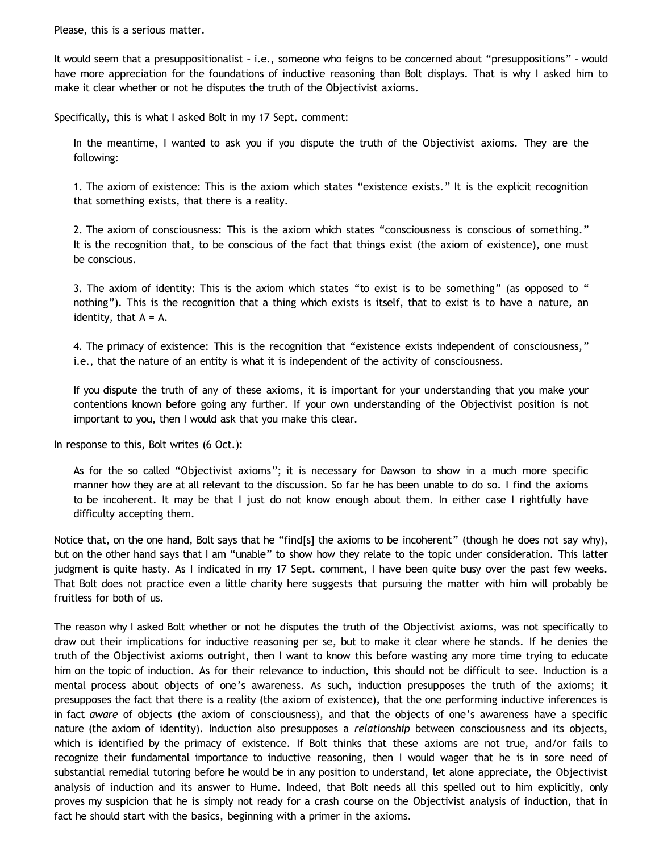Please, this is a serious matter.

It would seem that a presuppositionalist – i.e., someone who feigns to be concerned about "presuppositions" – would have more appreciation for the foundations of inductive reasoning than Bolt displays. That is why I asked him to make it clear whether or not he disputes the truth of the Objectivist axioms.

Specifically, this is what I asked Bolt in my 17 Sept. comment:

In the meantime, I wanted to ask you if you dispute the truth of the Objectivist axioms. They are the following:

1. The axiom of existence: This is the axiom which states "existence exists." It is the explicit recognition that something exists, that there is a reality.

2. The axiom of consciousness: This is the axiom which states "consciousness is conscious of something." It is the recognition that, to be conscious of the fact that things exist (the axiom of existence), one must be conscious.

3. The axiom of identity: This is the axiom which states "to exist is to be something" (as opposed to " nothing"). This is the recognition that a thing which exists is itself, that to exist is to have a nature, an identity, that  $A = A$ .

4. The primacy of existence: This is the recognition that "existence exists independent of consciousness," i.e., that the nature of an entity is what it is independent of the activity of consciousness.

If you dispute the truth of any of these axioms, it is important for your understanding that you make your contentions known before going any further. If your own understanding of the Objectivist position is not important to you, then I would ask that you make this clear.

In response to this, Bolt writes (6 Oct.):

As for the so called "Objectivist axioms"; it is necessary for Dawson to show in a much more specific manner how they are at all relevant to the discussion. So far he has been unable to do so. I find the axioms to be incoherent. It may be that I just do not know enough about them. In either case I rightfully have difficulty accepting them.

Notice that, on the one hand, Bolt says that he "find[s] the axioms to be incoherent" (though he does not say why), but on the other hand says that I am "unable" to show how they relate to the topic under consideration. This latter judgment is quite hasty. As I indicated in my 17 Sept. comment, I have been quite busy over the past few weeks. That Bolt does not practice even a little charity here suggests that pursuing the matter with him will probably be fruitless for both of us.

The reason why I asked Bolt whether or not he disputes the truth of the Objectivist axioms, was not specifically to draw out their implications for inductive reasoning per se, but to make it clear where he stands. If he denies the truth of the Objectivist axioms outright, then I want to know this before wasting any more time trying to educate him on the topic of induction. As for their relevance to induction, this should not be difficult to see. Induction is a mental process about objects of one's awareness. As such, induction presupposes the truth of the axioms; it presupposes the fact that there is a reality (the axiom of existence), that the one performing inductive inferences is in fact *aware* of objects (the axiom of consciousness), and that the objects of one's awareness have a specific nature (the axiom of identity). Induction also presupposes a *relationship* between consciousness and its objects, which is identified by the primacy of existence. If Bolt thinks that these axioms are not true, and/or fails to recognize their fundamental importance to inductive reasoning, then I would wager that he is in sore need of substantial remedial tutoring before he would be in any position to understand, let alone appreciate, the Objectivist analysis of induction and its answer to Hume. Indeed, that Bolt needs all this spelled out to him explicitly, only proves my suspicion that he is simply not ready for a crash course on the Objectivist analysis of induction, that in fact he should start with the basics, beginning with a primer in the axioms.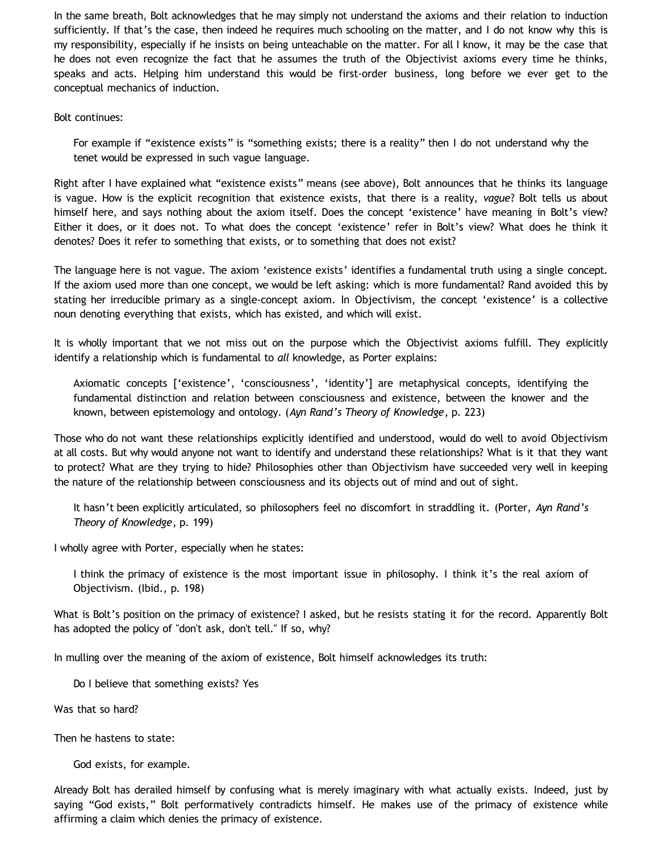In the same breath, Bolt acknowledges that he may simply not understand the axioms and their relation to induction sufficiently. If that's the case, then indeed he requires much schooling on the matter, and I do not know why this is my responsibility, especially if he insists on being unteachable on the matter. For all I know, it may be the case that he does not even recognize the fact that he assumes the truth of the Objectivist axioms every time he thinks, speaks and acts. Helping him understand this would be first-order business, long before we ever get to the conceptual mechanics of induction.

Bolt continues:

For example if "existence exists" is "something exists; there is a reality" then I do not understand why the tenet would be expressed in such vague language.

Right after I have explained what "existence exists" means (see above), Bolt announces that he thinks its language is vague. How is the explicit recognition that existence exists, that there is a reality, *vague*? Bolt tells us about himself here, and says nothing about the axiom itself. Does the concept 'existence' have meaning in Bolt's view? Either it does, or it does not. To what does the concept 'existence' refer in Bolt's view? What does he think it denotes? Does it refer to something that exists, or to something that does not exist?

The language here is not vague. The axiom 'existence exists' identifies a fundamental truth using a single concept. If the axiom used more than one concept, we would be left asking: which is more fundamental? Rand avoided this by stating her irreducible primary as a single-concept axiom. In Objectivism, the concept 'existence' is a collective noun denoting everything that exists, which has existed, and which will exist.

It is wholly important that we not miss out on the purpose which the Objectivist axioms fulfill. They explicitly identify a relationship which is fundamental to *all* knowledge, as Porter explains:

Axiomatic concepts ['existence', 'consciousness', 'identity'] are metaphysical concepts, identifying the fundamental distinction and relation between consciousness and existence, between the knower and the known, between epistemology and ontology. (*Ayn Rand's Theory of Knowledge*, p. 223)

Those who do not want these relationships explicitly identified and understood, would do well to avoid Objectivism at all costs. But why would anyone not want to identify and understand these relationships? What is it that they want to protect? What are they trying to hide? Philosophies other than Objectivism have succeeded very well in keeping the nature of the relationship between consciousness and its objects out of mind and out of sight.

It hasn't been explicitly articulated, so philosophers feel no discomfort in straddling it. (Porter, *Ayn Rand's Theory of Knowledge*, p. 199)

I wholly agree with Porter, especially when he states:

I think the primacy of existence is the most important issue in philosophy. I think it's the real axiom of Objectivism. (Ibid., p. 198)

What is Bolt's position on the primacy of existence? I asked, but he resists stating it for the record. Apparently Bolt has adopted the policy of "don't ask, don't tell." If so, why?

In mulling over the meaning of the axiom of existence, Bolt himself acknowledges its truth:

Do I believe that something exists? Yes

Was that so hard?

Then he hastens to state:

God exists, for example.

Already Bolt has derailed himself by confusing what is merely imaginary with what actually exists. Indeed, just by saying "God exists," Bolt performatively contradicts himself. He makes use of the primacy of existence while affirming a claim which denies the primacy of existence.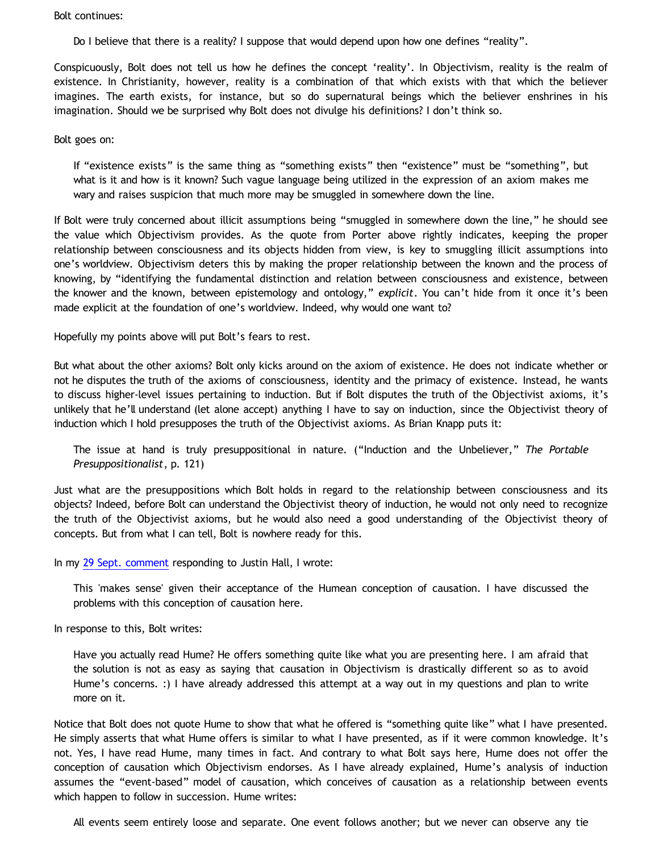Bolt continues:

Do I believe that there is a reality? I suppose that would depend upon how one defines "reality".

Conspicuously, Bolt does not tell us how he defines the concept 'reality'. In Objectivism, reality is the realm of existence. In Christianity, however, reality is a combination of that which exists with that which the believer imagines. The earth exists, for instance, but so do supernatural beings which the believer enshrines in his imagination. Should we be surprised why Bolt does not divulge his definitions? I don't think so.

Bolt goes on:

If "existence exists" is the same thing as "something exists" then "existence" must be "something", but what is it and how is it known? Such vague language being utilized in the expression of an axiom makes me wary and raises suspicion that much more may be smuggled in somewhere down the line.

If Bolt were truly concerned about illicit assumptions being "smuggled in somewhere down the line," he should see the value which Objectivism provides. As the quote from Porter above rightly indicates, keeping the proper relationship between consciousness and its objects hidden from view, is key to smuggling illicit assumptions into one's worldview. Objectivism deters this by making the proper relationship between the known and the process of knowing, by "identifying the fundamental distinction and relation between consciousness and existence, between the knower and the known, between epistemology and ontology," *explicit*. You can't hide from it once it's been made explicit at the foundation of one's worldview. Indeed, why would one want to?

Hopefully my points above will put Bolt's fears to rest.

But what about the other axioms? Bolt only kicks around on the axiom of existence. He does not indicate whether or not he disputes the truth of the axioms of consciousness, identity and the primacy of existence. Instead, he wants to discuss higher-level issues pertaining to induction. But if Bolt disputes the truth of the Objectivist axioms, it's unlikely that he'll understand (let alone accept) anything I have to say on induction, since the Objectivist theory of induction which I hold presupposes the truth of the Objectivist axioms. As Brian Knapp puts it:

The issue at hand is truly presuppositional in nature. ("Induction and the Unbeliever," *The Portable Presuppositionalist*, p. 121)

Just what are the presuppositions which Bolt holds in regard to the relationship between consciousness and its objects? Indeed, before Bolt can understand the Objectivist theory of induction, he would not only need to recognize the truth of the Objectivist axioms, but he would also need a good understanding of the Objectivist theory of concepts. But from what I can tell, Bolt is nowhere ready for this.

In my [29 Sept. comment](http://bahnsenburner.blogspot.com/2009/09/can-water-in-my-drinking-glass-turn.html) responding to Justin Hall, I wrote:

This 'makes sense' given their acceptance of the Humean conception of causation. I have discussed the problems with this conception of causation here.

In response to this, Bolt writes:

Have you actually read Hume? He offers something quite like what you are presenting here. I am afraid that the solution is not as easy as saying that causation in Objectivism is drastically different so as to avoid Hume's concerns. :) I have already addressed this attempt at a way out in my questions and plan to write more on it.

Notice that Bolt does not quote Hume to show that what he offered is "something quite like" what I have presented. He simply asserts that what Hume offers is similar to what I have presented, as if it were common knowledge. It's not. Yes, I have read Hume, many times in fact. And contrary to what Bolt says here, Hume does not offer the conception of causation which Objectivism endorses. As I have already explained, Hume's analysis of induction assumes the "event-based" model of causation, which conceives of causation as a relationship between events which happen to follow in succession. Hume writes:

All events seem entirely loose and separate. One event follows another; but we never can observe any tie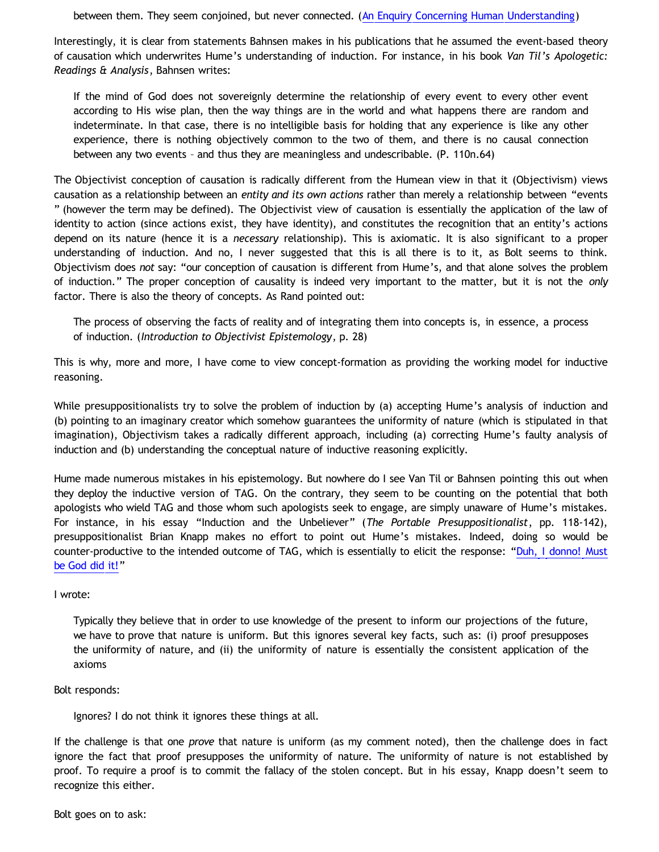between them. They seem conjoined, but never connected. ([An Enquiry Concerning Human Understanding\)](http://bartleby.com/37/3/10.html)

Interestingly, it is clear from statements Bahnsen makes in his publications that he assumed the event-based theory of causation which underwrites Hume's understanding of induction. For instance, in his book *Van Til's Apologetic: Readings & Analysis*, Bahnsen writes:

If the mind of God does not sovereignly determine the relationship of every event to every other event according to His wise plan, then the way things are in the world and what happens there are random and indeterminate. In that case, there is no intelligible basis for holding that any experience is like any other experience, there is nothing objectively common to the two of them, and there is no causal connection between any two events – and thus they are meaningless and undescribable. (P. 110n.64)

The Objectivist conception of causation is radically different from the Humean view in that it (Objectivism) views causation as a relationship between an *entity and its own actions* rather than merely a relationship between "events " (however the term may be defined). The Objectivist view of causation is essentially the application of the law of identity to action (since actions exist, they have identity), and constitutes the recognition that an entity's actions depend on its nature (hence it is a *necessary* relationship). This is axiomatic. It is also significant to a proper understanding of induction. And no, I never suggested that this is all there is to it, as Bolt seems to think. Objectivism does *not* say: "our conception of causation is different from Hume's, and that alone solves the problem of induction." The proper conception of causality is indeed very important to the matter, but it is not the *only* factor. There is also the theory of concepts. As Rand pointed out:

The process of observing the facts of reality and of integrating them into concepts is, in essence, a process of induction. (*Introduction to Objectivist Epistemology*, p. 28)

This is why, more and more, I have come to view concept-formation as providing the working model for inductive reasoning.

While presuppositionalists try to solve the problem of induction by (a) accepting Hume's analysis of induction and (b) pointing to an imaginary creator which somehow guarantees the uniformity of nature (which is stipulated in that imagination), Objectivism takes a radically different approach, including (a) correcting Hume's faulty analysis of induction and (b) understanding the conceptual nature of inductive reasoning explicitly.

Hume made numerous mistakes in his epistemology. But nowhere do I see Van Til or Bahnsen pointing this out when they deploy the inductive version of TAG. On the contrary, they seem to be counting on the potential that both apologists who wield TAG and those whom such apologists seek to engage, are simply unaware of Hume's mistakes. For instance, in his essay "Induction and the Unbeliever" (*The Portable Presuppositionalist*, pp. 118-142), presuppositionalist Brian Knapp makes no effort to point out Hume's mistakes. Indeed, doing so would be counter-productive to the intended outcome of TAG, which is essentially to elicit the response: "[Duh, I donno! Must](http://www.geocities.com/katholon/duh15.wav) [be God did it!](http://www.geocities.com/katholon/duh15.wav)"

#### I wrote:

Typically they believe that in order to use knowledge of the present to inform our projections of the future, we have to prove that nature is uniform. But this ignores several key facts, such as: (i) proof presupposes the uniformity of nature, and (ii) the uniformity of nature is essentially the consistent application of the axioms

# Bolt responds:

Ignores? I do not think it ignores these things at all.

If the challenge is that one *prove* that nature is uniform (as my comment noted), then the challenge does in fact ignore the fact that proof presupposes the uniformity of nature. The uniformity of nature is not established by proof. To require a proof is to commit the fallacy of the stolen concept. But in his essay, Knapp doesn't seem to recognize this either.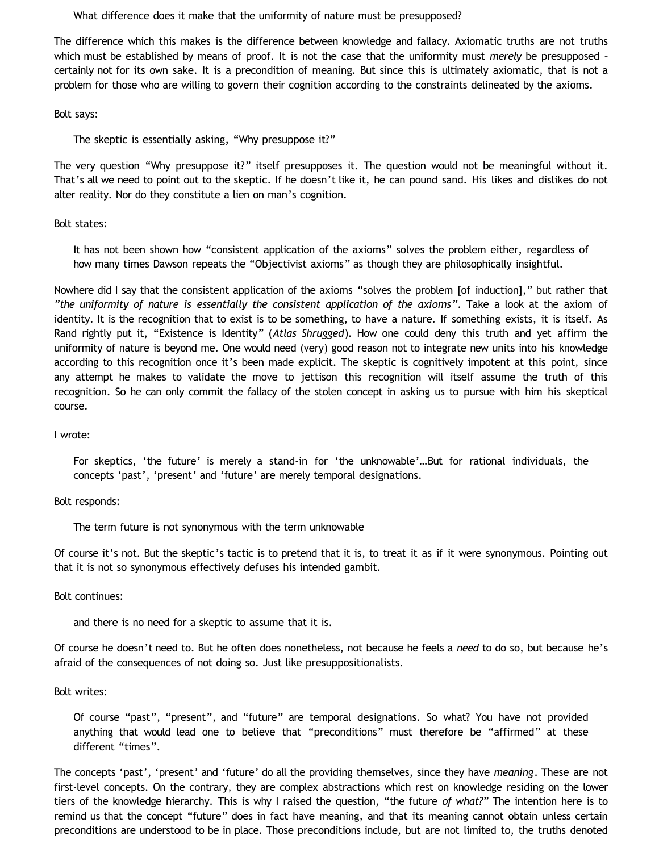What difference does it make that the uniformity of nature must be presupposed?

The difference which this makes is the difference between knowledge and fallacy. Axiomatic truths are not truths which must be established by means of proof. It is not the case that the uniformity must *merely* be presupposed – certainly not for its own sake. It is a precondition of meaning. But since this is ultimately axiomatic, that is not a problem for those who are willing to govern their cognition according to the constraints delineated by the axioms.

Bolt says:

The skeptic is essentially asking, "Why presuppose it?"

The very question "Why presuppose it?" itself presupposes it. The question would not be meaningful without it. That's all we need to point out to the skeptic. If he doesn't like it, he can pound sand. His likes and dislikes do not alter reality. Nor do they constitute a lien on man's cognition.

#### Bolt states:

It has not been shown how "consistent application of the axioms" solves the problem either, regardless of how many times Dawson repeats the "Objectivist axioms" as though they are philosophically insightful.

Nowhere did I say that the consistent application of the axioms "solves the problem [of induction]," but rather that *"the uniformity of nature is essentially the consistent application of the axioms"*. Take a look at the axiom of identity. It is the recognition that to exist is to be something, to have a nature. If something exists, it is itself. As Rand rightly put it, "Existence is Identity" (*Atlas Shrugged*). How one could deny this truth and yet affirm the uniformity of nature is beyond me. One would need (very) good reason not to integrate new units into his knowledge according to this recognition once it's been made explicit. The skeptic is cognitively impotent at this point, since any attempt he makes to validate the move to jettison this recognition will itself assume the truth of this recognition. So he can only commit the fallacy of the stolen concept in asking us to pursue with him his skeptical course.

#### I wrote:

For skeptics, 'the future' is merely a stand-in for 'the unknowable'…But for rational individuals, the concepts 'past', 'present' and 'future' are merely temporal designations.

Bolt responds:

The term future is not synonymous with the term unknowable

Of course it's not. But the skeptic's tactic is to pretend that it is, to treat it as if it were synonymous. Pointing out that it is not so synonymous effectively defuses his intended gambit.

Bolt continues:

and there is no need for a skeptic to assume that it is.

Of course he doesn't need to. But he often does nonetheless, not because he feels a *need* to do so, but because he's afraid of the consequences of not doing so. Just like presuppositionalists.

#### Bolt writes:

Of course "past", "present", and "future" are temporal designations. So what? You have not provided anything that would lead one to believe that "preconditions" must therefore be "affirmed" at these different "times".

The concepts 'past', 'present' and 'future' do all the providing themselves, since they have *meaning*. These are not first-level concepts. On the contrary, they are complex abstractions which rest on knowledge residing on the lower tiers of the knowledge hierarchy. This is why I raised the question, "the future *of what?*" The intention here is to remind us that the concept "future" does in fact have meaning, and that its meaning cannot obtain unless certain preconditions are understood to be in place. Those preconditions include, but are not limited to, the truths denoted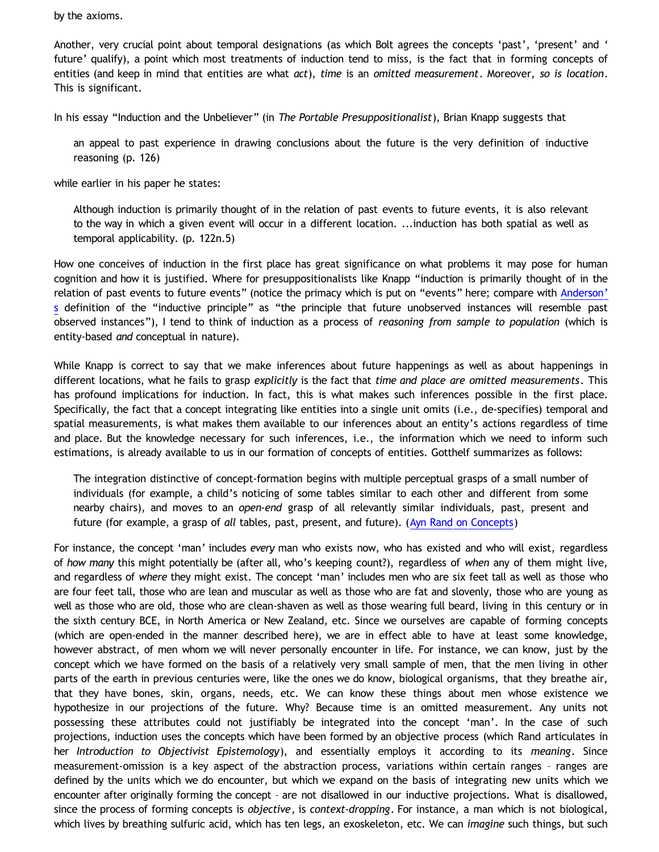by the axioms.

Another, very crucial point about temporal designations (as which Bolt agrees the concepts 'past', 'present' and ' future' qualify), a point which most treatments of induction tend to miss, is the fact that in forming concepts of entities (and keep in mind that entities are what *act*), *time* is an *omitted measurement*. Moreover, *so is location*. This is significant.

In his essay "Induction and the Unbeliever" (in *The Portable Presuppositionalist*), Brian Knapp suggests that

an appeal to past experience in drawing conclusions about the future is the very definition of inductive reasoning (p. 126)

while earlier in his paper he states:

Although induction is primarily thought of in the relation of past events to future events, it is also relevant to the way in which a given event will occur in a different location. ...induction has both spatial as well as temporal applicability. (p. 122n.5)

How one conceives of induction in the first place has great significance on what problems it may pose for human cognition and how it is justified. Where for presuppositionalists like Knapp "induction is primarily thought of in the relation of past events to future events" (notice the primacy which is put on "events" here; compare with [Anderson'](http://www.proginosko.com/docs/induction.html) [s](http://www.proginosko.com/docs/induction.html) definition of the "inductive principle" as "the principle that future unobserved instances will resemble past observed instances"), I tend to think of induction as a process of *reasoning from sample to population* (which is entity-based *and* conceptual in nature).

While Knapp is correct to say that we make inferences about future happenings as well as about happenings in different locations, what he fails to grasp *explicitly* is the fact that *time and place are omitted measurements*. This has profound implications for induction. In fact, this is what makes such inferences possible in the first place. Specifically, the fact that a concept integrating like entities into a single unit omits (i.e., de-specifies) temporal and spatial measurements, is what makes them available to our inferences about an entity's actions regardless of time and place. But the knowledge necessary for such inferences, i.e., the information which we need to inform such estimations, is already available to us in our formation of concepts of entities. Gotthelf summarizes as follows:

The integration distinctive of concept-formation begins with multiple perceptual grasps of a small number of individuals (for example, a child's noticing of some tables similar to each other and different from some nearby chairs), and moves to an *open-end* grasp of all relevantly similar individuals, past, present and future (for example, a grasp of *all* tables, past, present, and future). ([Ayn Rand on Concepts\)](http://www.bristol.ac.uk/metaphysicsofscience/naicpapers/gotthelf.pdf)

For instance, the concept 'man' includes *every* man who exists now, who has existed and who will exist, regardless of *how many* this might potentially be (after all, who's keeping count?), regardless of *when* any of them might live, and regardless of *where* they might exist. The concept 'man' includes men who are six feet tall as well as those who are four feet tall, those who are lean and muscular as well as those who are fat and slovenly, those who are young as well as those who are old, those who are clean-shaven as well as those wearing full beard, living in this century or in the sixth century BCE, in North America or New Zealand, etc. Since we ourselves are capable of forming concepts (which are open-ended in the manner described here), we are in effect able to have at least some knowledge, however abstract, of men whom we will never personally encounter in life. For instance, we can know, just by the concept which we have formed on the basis of a relatively very small sample of men, that the men living in other parts of the earth in previous centuries were, like the ones we do know, biological organisms, that they breathe air, that they have bones, skin, organs, needs, etc. We can know these things about men whose existence we hypothesize in our projections of the future. Why? Because time is an omitted measurement. Any units not possessing these attributes could not justifiably be integrated into the concept 'man'. In the case of such projections, induction uses the concepts which have been formed by an objective process (which Rand articulates in her *Introduction to Objectivist Epistemology*), and essentially employs it according to its *meaning*. Since measurement-omission is a key aspect of the abstraction process, variations within certain ranges – ranges are defined by the units which we do encounter, but which we expand on the basis of integrating new units which we encounter after originally forming the concept – are not disallowed in our inductive projections. What is disallowed, since the process of forming concepts is *objective*, is *context-dropping*. For instance, a man which is not biological, which lives by breathing sulfuric acid, which has ten legs, an exoskeleton, etc. We can *imagine* such things, but such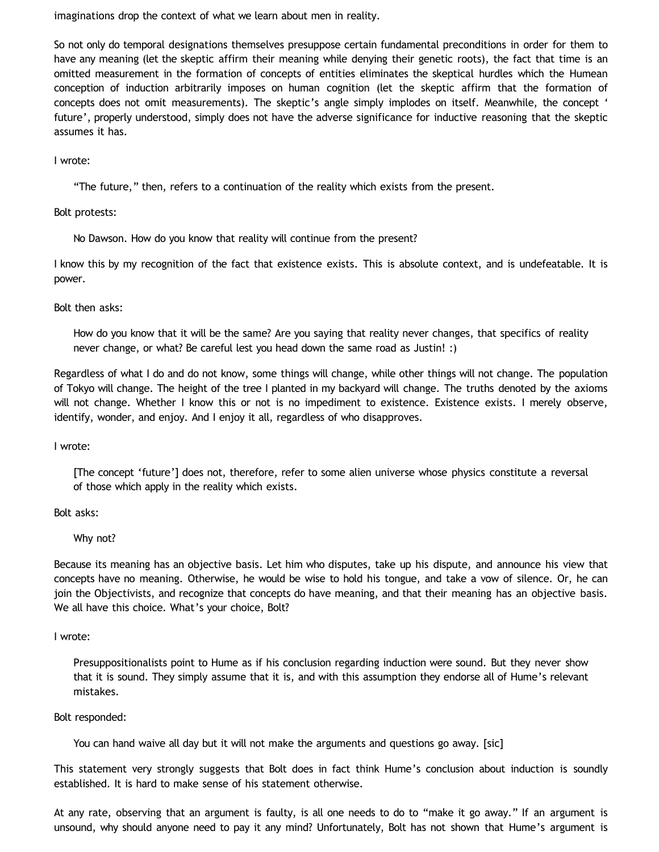imaginations drop the context of what we learn about men in reality.

So not only do temporal designations themselves presuppose certain fundamental preconditions in order for them to have any meaning (let the skeptic affirm their meaning while denying their genetic roots), the fact that time is an omitted measurement in the formation of concepts of entities eliminates the skeptical hurdles which the Humean conception of induction arbitrarily imposes on human cognition (let the skeptic affirm that the formation of concepts does not omit measurements). The skeptic's angle simply implodes on itself. Meanwhile, the concept ' future', properly understood, simply does not have the adverse significance for inductive reasoning that the skeptic assumes it has.

#### I wrote:

"The future," then, refers to a continuation of the reality which exists from the present.

Bolt protests:

No Dawson. How do you know that reality will continue from the present?

I know this by my recognition of the fact that existence exists. This is absolute context, and is undefeatable. It is power.

Bolt then asks:

How do you know that it will be the same? Are you saying that reality never changes, that specifics of reality never change, or what? Be careful lest you head down the same road as Justin! :)

Regardless of what I do and do not know, some things will change, while other things will not change. The population of Tokyo will change. The height of the tree I planted in my backyard will change. The truths denoted by the axioms will not change. Whether I know this or not is no impediment to existence. Existence exists. I merely observe, identify, wonder, and enjoy. And I enjoy it all, regardless of who disapproves.

I wrote:

[The concept 'future'] does not, therefore, refer to some alien universe whose physics constitute a reversal of those which apply in the reality which exists.

Bolt asks:

Why not?

Because its meaning has an objective basis. Let him who disputes, take up his dispute, and announce his view that concepts have no meaning. Otherwise, he would be wise to hold his tongue, and take a vow of silence. Or, he can join the Objectivists, and recognize that concepts do have meaning, and that their meaning has an objective basis. We all have this choice. What's your choice, Bolt?

I wrote:

Presuppositionalists point to Hume as if his conclusion regarding induction were sound. But they never show that it is sound. They simply assume that it is, and with this assumption they endorse all of Hume's relevant mistakes.

Bolt responded:

You can hand waive all day but it will not make the arguments and questions go away. [sic]

This statement very strongly suggests that Bolt does in fact think Hume's conclusion about induction is soundly established. It is hard to make sense of his statement otherwise.

At any rate, observing that an argument is faulty, is all one needs to do to "make it go away." If an argument is unsound, why should anyone need to pay it any mind? Unfortunately, Bolt has not shown that Hume's argument is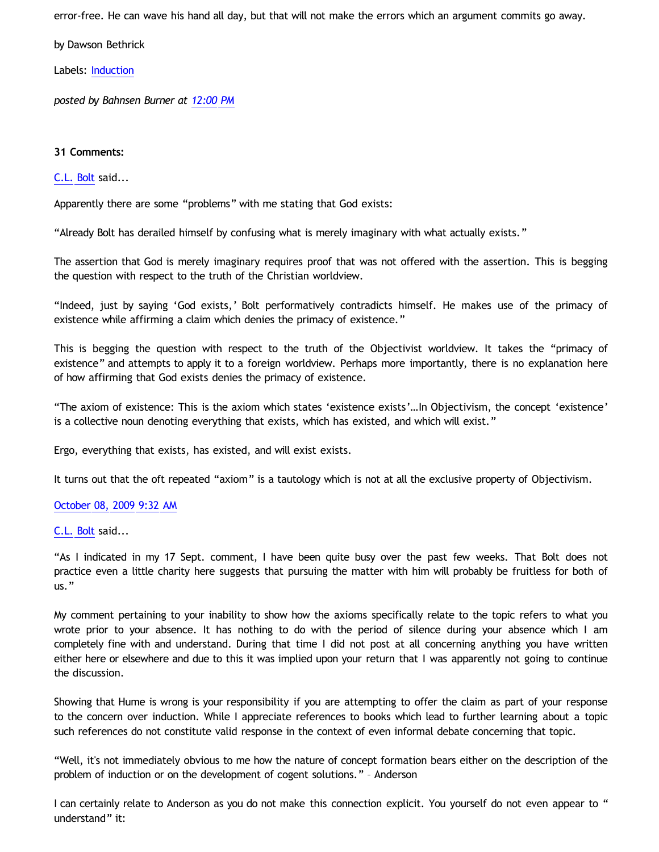error-free. He can wave his hand all day, but that will not make the errors which an argument commits go away.

by Dawson Bethrick

Labels: [Induction](http://bahnsenburner.blogspot.com/search/label/Induction)

*posted by Bahnsen Burner at [12:00 PM](http://bahnsenburner.blogspot.com/2009/10/chris-bolt-on-hume-and-induction.html)*

# **31 Comments:**

# [C.L. Bolt](http://www.blogger.com/profile/15797112064238146744) said...

Apparently there are some "problems" with me stating that God exists:

"Already Bolt has derailed himself by confusing what is merely imaginary with what actually exists."

The assertion that God is merely imaginary requires proof that was not offered with the assertion. This is begging the question with respect to the truth of the Christian worldview.

"Indeed, just by saying 'God exists,' Bolt performatively contradicts himself. He makes use of the primacy of existence while affirming a claim which denies the primacy of existence."

This is begging the question with respect to the truth of the Objectivist worldview. It takes the "primacy of existence" and attempts to apply it to a foreign worldview. Perhaps more importantly, there is no explanation here of how affirming that God exists denies the primacy of existence.

"The axiom of existence: This is the axiom which states 'existence exists'…In Objectivism, the concept 'existence' is a collective noun denoting everything that exists, which has existed, and which will exist."

Ergo, everything that exists, has existed, and will exist exists.

It turns out that the oft repeated "axiom" is a tautology which is not at all the exclusive property of Objectivism.

# [October 08, 2009 9:32 AM](http://bahnsenburner.blogspot.com/2009/10/5490920608213960555)

# [C.L. Bolt](http://www.blogger.com/profile/15797112064238146744) said...

"As I indicated in my 17 Sept. comment, I have been quite busy over the past few weeks. That Bolt does not practice even a little charity here suggests that pursuing the matter with him will probably be fruitless for both of us."

My comment pertaining to your inability to show how the axioms specifically relate to the topic refers to what you wrote prior to your absence. It has nothing to do with the period of silence during your absence which I am completely fine with and understand. During that time I did not post at all concerning anything you have written either here or elsewhere and due to this it was implied upon your return that I was apparently not going to continue the discussion.

Showing that Hume is wrong is your responsibility if you are attempting to offer the claim as part of your response to the concern over induction. While I appreciate references to books which lead to further learning about a topic such references do not constitute valid response in the context of even informal debate concerning that topic.

"Well, it's not immediately obvious to me how the nature of concept formation bears either on the description of the problem of induction or on the development of cogent solutions." – Anderson

I can certainly relate to Anderson as you do not make this connection explicit. You yourself do not even appear to " understand" it: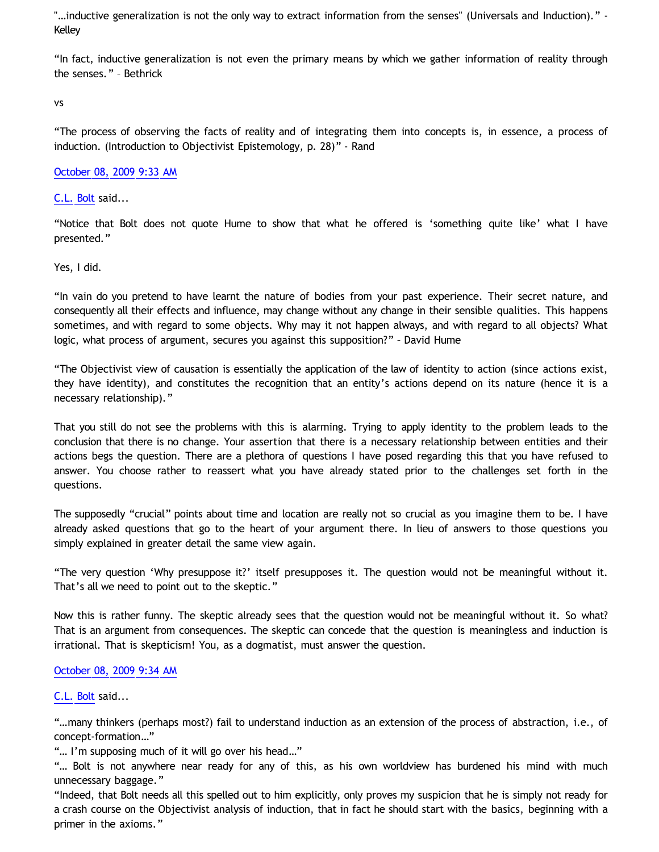"…inductive generalization is not the only way to extract information from the senses" (Universals and Induction)." - Kelley

"In fact, inductive generalization is not even the primary means by which we gather information of reality through the senses." – Bethrick

vs

"The process of observing the facts of reality and of integrating them into concepts is, in essence, a process of induction. (Introduction to Objectivist Epistemology, p. 28)" - Rand

[October 08, 2009 9:33 AM](http://bahnsenburner.blogspot.com/2009/10/5121675119558197687)

[C.L. Bolt](http://www.blogger.com/profile/15797112064238146744) said...

"Notice that Bolt does not quote Hume to show that what he offered is 'something quite like' what I have presented."

Yes, I did.

"In vain do you pretend to have learnt the nature of bodies from your past experience. Their secret nature, and consequently all their effects and influence, may change without any change in their sensible qualities. This happens sometimes, and with regard to some objects. Why may it not happen always, and with regard to all objects? What logic, what process of argument, secures you against this supposition?" – David Hume

"The Objectivist view of causation is essentially the application of the law of identity to action (since actions exist, they have identity), and constitutes the recognition that an entity's actions depend on its nature (hence it is a necessary relationship)."

That you still do not see the problems with this is alarming. Trying to apply identity to the problem leads to the conclusion that there is no change. Your assertion that there is a necessary relationship between entities and their actions begs the question. There are a plethora of questions I have posed regarding this that you have refused to answer. You choose rather to reassert what you have already stated prior to the challenges set forth in the questions.

The supposedly "crucial" points about time and location are really not so crucial as you imagine them to be. I have already asked questions that go to the heart of your argument there. In lieu of answers to those questions you simply explained in greater detail the same view again.

"The very question 'Why presuppose it?' itself presupposes it. The question would not be meaningful without it. That's all we need to point out to the skeptic."

Now this is rather funny. The skeptic already sees that the question would not be meaningful without it. So what? That is an argument from consequences. The skeptic can concede that the question is meaningless and induction is irrational. That is skepticism! You, as a dogmatist, must answer the question.

# [October 08, 2009 9:34 AM](http://bahnsenburner.blogspot.com/2009/10/5759182689669130501)

# [C.L. Bolt](http://www.blogger.com/profile/15797112064238146744) said...

"…many thinkers (perhaps most?) fail to understand induction as an extension of the process of abstraction, i.e., of concept-formation…"

"… I'm supposing much of it will go over his head…"

"… Bolt is not anywhere near ready for any of this, as his own worldview has burdened his mind with much unnecessary baggage."

"Indeed, that Bolt needs all this spelled out to him explicitly, only proves my suspicion that he is simply not ready for a crash course on the Objectivist analysis of induction, that in fact he should start with the basics, beginning with a primer in the axioms."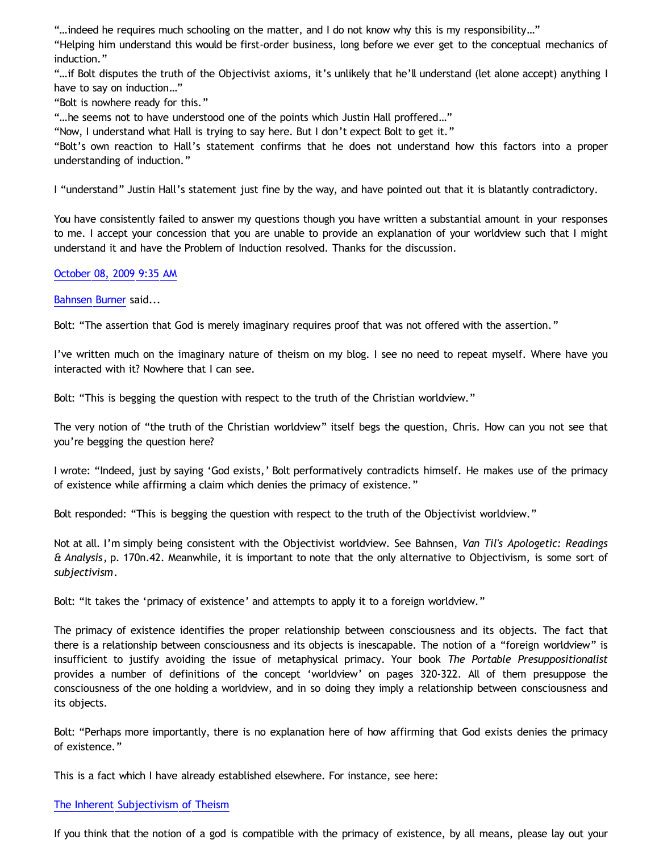"…indeed he requires much schooling on the matter, and I do not know why this is my responsibility…"

"Helping him understand this would be first-order business, long before we ever get to the conceptual mechanics of induction."

"…if Bolt disputes the truth of the Objectivist axioms, it's unlikely that he'll understand (let alone accept) anything I have to say on induction…"

"Bolt is nowhere ready for this."

"…he seems not to have understood one of the points which Justin Hall proffered…"

"Now, I understand what Hall is trying to say here. But I don't expect Bolt to get it."

"Bolt's own reaction to Hall's statement confirms that he does not understand how this factors into a proper understanding of induction."

I "understand" Justin Hall's statement just fine by the way, and have pointed out that it is blatantly contradictory.

You have consistently failed to answer my questions though you have written a substantial amount in your responses to me. I accept your concession that you are unable to provide an explanation of your worldview such that I might understand it and have the Problem of Induction resolved. Thanks for the discussion.

# [October 08, 2009 9:35 AM](http://bahnsenburner.blogspot.com/2009/10/8469649681938021619)

[Bahnsen Burner](http://www.blogger.com/profile/11030029491768748360) said...

Bolt: "The assertion that God is merely imaginary requires proof that was not offered with the assertion."

I've written much on the imaginary nature of theism on my blog. I see no need to repeat myself. Where have you interacted with it? Nowhere that I can see.

Bolt: "This is begging the question with respect to the truth of the Christian worldview."

The very notion of "the truth of the Christian worldview" itself begs the question, Chris. How can you not see that you're begging the question here?

I wrote: "Indeed, just by saying 'God exists,' Bolt performatively contradicts himself. He makes use of the primacy of existence while affirming a claim which denies the primacy of existence."

Bolt responded: "This is begging the question with respect to the truth of the Objectivist worldview."

Not at all. I'm simply being consistent with the Objectivist worldview. See Bahnsen, *Van Til's Apologetic: Readings & Analysis*, p. 170n.42. Meanwhile, it is important to note that the only alternative to Objectivism, is some sort of *subjectivism*.

Bolt: "It takes the 'primacy of existence' and attempts to apply it to a foreign worldview."

The primacy of existence identifies the proper relationship between consciousness and its objects. The fact that there is a relationship between consciousness and its objects is inescapable. The notion of a "foreign worldview" is insufficient to justify avoiding the issue of metaphysical primacy. Your book *The Portable Presuppositionalist* provides a number of definitions of the concept 'worldview' on pages 320-322. All of them presuppose the consciousness of the one holding a worldview, and in so doing they imply a relationship between consciousness and its objects.

Bolt: "Perhaps more importantly, there is no explanation here of how affirming that God exists denies the primacy of existence."

This is a fact which I have already established elsewhere. For instance, see here:

#### [The Inherent Subjectivism of Theism](http://bahnsenburner.blogspot.com/2008/12/inherent-subjectivism-of-god-belief.html)

If you think that the notion of a god is compatible with the primacy of existence, by all means, please lay out your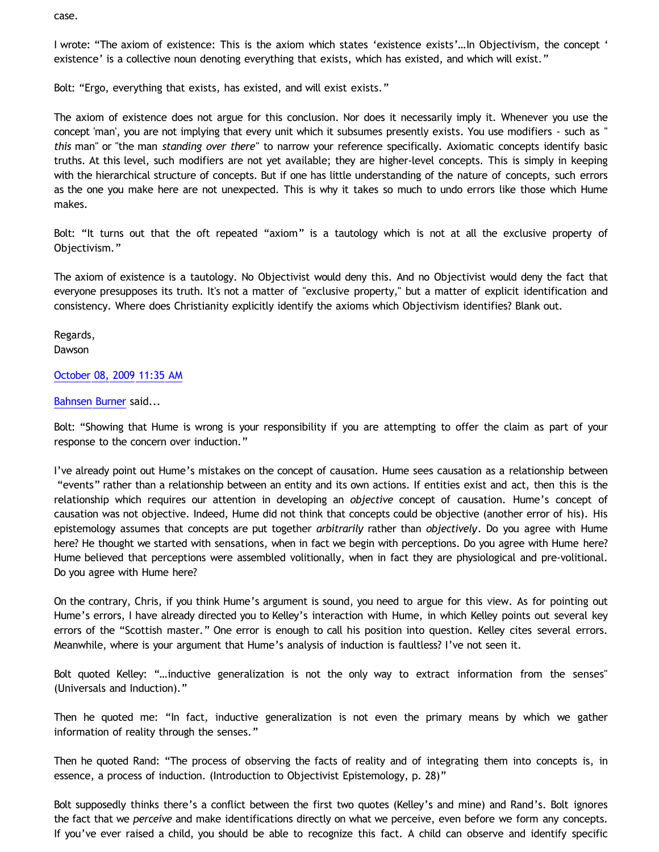case.

I wrote: "The axiom of existence: This is the axiom which states 'existence exists'…In Objectivism, the concept ' existence' is a collective noun denoting everything that exists, which has existed, and which will exist."

Bolt: "Ergo, everything that exists, has existed, and will exist exists."

The axiom of existence does not argue for this conclusion. Nor does it necessarily imply it. Whenever you use the concept 'man', you are not implying that every unit which it subsumes presently exists. You use modifiers - such as " *this* man" or "the man *standing over there*" to narrow your reference specifically. Axiomatic concepts identify basic truths. At this level, such modifiers are not yet available; they are higher-level concepts. This is simply in keeping with the hierarchical structure of concepts. But if one has little understanding of the nature of concepts, such errors as the one you make here are not unexpected. This is why it takes so much to undo errors like those which Hume makes.

Bolt: "It turns out that the oft repeated "axiom" is a tautology which is not at all the exclusive property of Objectivism."

The axiom of existence is a tautology. No Objectivist would deny this. And no Objectivist would deny the fact that everyone presupposes its truth. It's not a matter of "exclusive property," but a matter of explicit identification and consistency. Where does Christianity explicitly identify the axioms which Objectivism identifies? Blank out.

Regards, Dawson

# [October 08, 2009 11:35 AM](http://bahnsenburner.blogspot.com/2009/10/3343248406932472253)

# [Bahnsen Burner](http://www.blogger.com/profile/11030029491768748360) said...

Bolt: "Showing that Hume is wrong is your responsibility if you are attempting to offer the claim as part of your response to the concern over induction."

I've already point out Hume's mistakes on the concept of causation. Hume sees causation as a relationship between "events" rather than a relationship between an entity and its own actions. If entities exist and act, then this is the relationship which requires our attention in developing an *objective* concept of causation. Hume's concept of causation was not objective. Indeed, Hume did not think that concepts could be objective (another error of his). His epistemology assumes that concepts are put together *arbitrarily* rather than *objectively*. Do you agree with Hume here? He thought we started with sensations, when in fact we begin with perceptions. Do you agree with Hume here? Hume believed that perceptions were assembled volitionally, when in fact they are physiological and pre-volitional. Do you agree with Hume here?

On the contrary, Chris, if you think Hume's argument is sound, you need to argue for this view. As for pointing out Hume's errors, I have already directed you to Kelley's interaction with Hume, in which Kelley points out several key errors of the "Scottish master." One error is enough to call his position into question. Kelley cites several errors. Meanwhile, where is your argument that Hume's analysis of induction is faultless? I've not seen it.

Bolt quoted Kelley: "…inductive generalization is not the only way to extract information from the senses" (Universals and Induction)."

Then he quoted me: "In fact, inductive generalization is not even the primary means by which we gather information of reality through the senses."

Then he quoted Rand: "The process of observing the facts of reality and of integrating them into concepts is, in essence, a process of induction. (Introduction to Objectivist Epistemology, p. 28)"

Bolt supposedly thinks there's a conflict between the first two quotes (Kelley's and mine) and Rand's. Bolt ignores the fact that we *perceive* and make identifications directly on what we perceive, even before we form any concepts. If you've ever raised a child, you should be able to recognize this fact. A child can observe and identify specific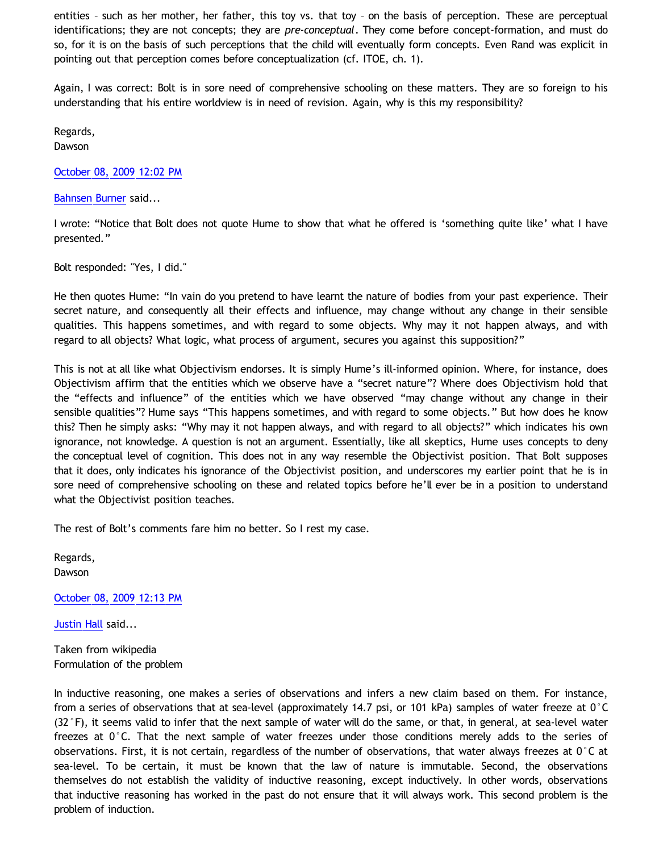entities – such as her mother, her father, this toy vs. that toy – on the basis of perception. These are perceptual identifications; they are not concepts; they are *pre-conceptual*. They come before concept-formation, and must do so, for it is on the basis of such perceptions that the child will eventually form concepts. Even Rand was explicit in pointing out that perception comes before conceptualization (cf. ITOE, ch. 1).

Again, I was correct: Bolt is in sore need of comprehensive schooling on these matters. They are so foreign to his understanding that his entire worldview is in need of revision. Again, why is this my responsibility?

Regards,

Dawson

[October 08, 2009 12:02 PM](http://bahnsenburner.blogspot.com/2009/10/7512662195062578264)

[Bahnsen Burner](http://www.blogger.com/profile/11030029491768748360) said...

I wrote: "Notice that Bolt does not quote Hume to show that what he offered is 'something quite like' what I have presented."

Bolt responded: "Yes, I did."

He then quotes Hume: "In vain do you pretend to have learnt the nature of bodies from your past experience. Their secret nature, and consequently all their effects and influence, may change without any change in their sensible qualities. This happens sometimes, and with regard to some objects. Why may it not happen always, and with regard to all objects? What logic, what process of argument, secures you against this supposition?"

This is not at all like what Objectivism endorses. It is simply Hume's ill-informed opinion. Where, for instance, does Objectivism affirm that the entities which we observe have a "secret nature"? Where does Objectivism hold that the "effects and influence" of the entities which we have observed "may change without any change in their sensible qualities"? Hume says "This happens sometimes, and with regard to some objects." But how does he know this? Then he simply asks: "Why may it not happen always, and with regard to all objects?" which indicates his own ignorance, not knowledge. A question is not an argument. Essentially, like all skeptics, Hume uses concepts to deny the conceptual level of cognition. This does not in any way resemble the Objectivist position. That Bolt supposes that it does, only indicates his ignorance of the Objectivist position, and underscores my earlier point that he is in sore need of comprehensive schooling on these and related topics before he'll ever be in a position to understand what the Objectivist position teaches.

The rest of Bolt's comments fare him no better. So I rest my case.

Regards, Dawson

[October 08, 2009 12:13 PM](http://bahnsenburner.blogspot.com/2009/10/3884854250401496888)

[Justin Hall](http://www.blogger.com/profile/17804641315202800289) said...

Taken from wikipedia Formulation of the problem

In inductive reasoning, one makes a series of observations and infers a new claim based on them. For instance, from a series of observations that at sea-level (approximately 14.7 psi, or 101 kPa) samples of water freeze at 0°C  $(32 \degree F)$ , it seems valid to infer that the next sample of water will do the same, or that, in general, at sea-level water freezes at 0°C. That the next sample of water freezes under those conditions merely adds to the series of observations. First, it is not certain, regardless of the number of observations, that water always freezes at 0°C at sea-level. To be certain, it must be known that the law of nature is immutable. Second, the observations themselves do not establish the validity of inductive reasoning, except inductively. In other words, observations that inductive reasoning has worked in the past do not ensure that it will always work. This second problem is the problem of induction.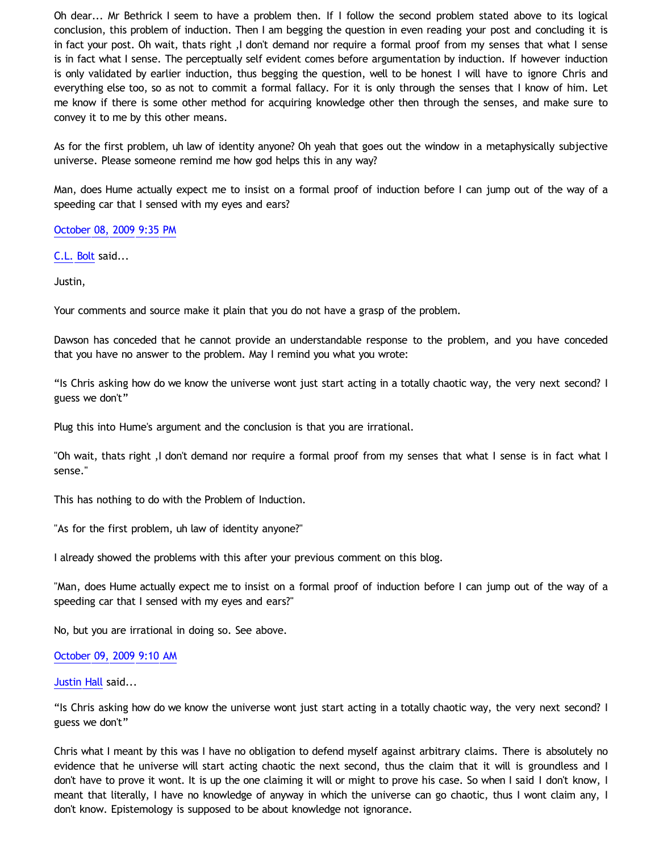Oh dear... Mr Bethrick I seem to have a problem then. If I follow the second problem stated above to its logical conclusion, this problem of induction. Then I am begging the question in even reading your post and concluding it is in fact your post. Oh wait, thats right ,I don't demand nor require a formal proof from my senses that what I sense is in fact what I sense. The perceptually self evident comes before argumentation by induction. If however induction is only validated by earlier induction, thus begging the question, well to be honest I will have to ignore Chris and everything else too, so as not to commit a formal fallacy. For it is only through the senses that I know of him. Let me know if there is some other method for acquiring knowledge other then through the senses, and make sure to convey it to me by this other means.

As for the first problem, uh law of identity anyone? Oh yeah that goes out the window in a metaphysically subjective universe. Please someone remind me how god helps this in any way?

Man, does Hume actually expect me to insist on a formal proof of induction before I can jump out of the way of a speeding car that I sensed with my eyes and ears?

[October 08, 2009 9:35 PM](http://bahnsenburner.blogspot.com/2009/10/818061290546495675)

[C.L. Bolt](http://www.blogger.com/profile/15797112064238146744) said...

Justin,

Your comments and source make it plain that you do not have a grasp of the problem.

Dawson has conceded that he cannot provide an understandable response to the problem, and you have conceded that you have no answer to the problem. May I remind you what you wrote:

"Is Chris asking how do we know the universe wont just start acting in a totally chaotic way, the very next second? I guess we don't"

Plug this into Hume's argument and the conclusion is that you are irrational.

"Oh wait, thats right ,I don't demand nor require a formal proof from my senses that what I sense is in fact what I sense."

This has nothing to do with the Problem of Induction.

"As for the first problem, uh law of identity anyone?"

I already showed the problems with this after your previous comment on this blog.

"Man, does Hume actually expect me to insist on a formal proof of induction before I can jump out of the way of a speeding car that I sensed with my eyes and ears?"

No, but you are irrational in doing so. See above.

# [October 09, 2009 9:10 AM](http://bahnsenburner.blogspot.com/2009/10/4756210527276497766)

[Justin Hall](http://www.blogger.com/profile/17804641315202800289) said...

"Is Chris asking how do we know the universe wont just start acting in a totally chaotic way, the very next second? I guess we don't"

Chris what I meant by this was I have no obligation to defend myself against arbitrary claims. There is absolutely no evidence that he universe will start acting chaotic the next second, thus the claim that it will is groundless and I don't have to prove it wont. It is up the one claiming it will or might to prove his case. So when I said I don't know, I meant that literally, I have no knowledge of anyway in which the universe can go chaotic, thus I wont claim any, I don't know. Epistemology is supposed to be about knowledge not ignorance.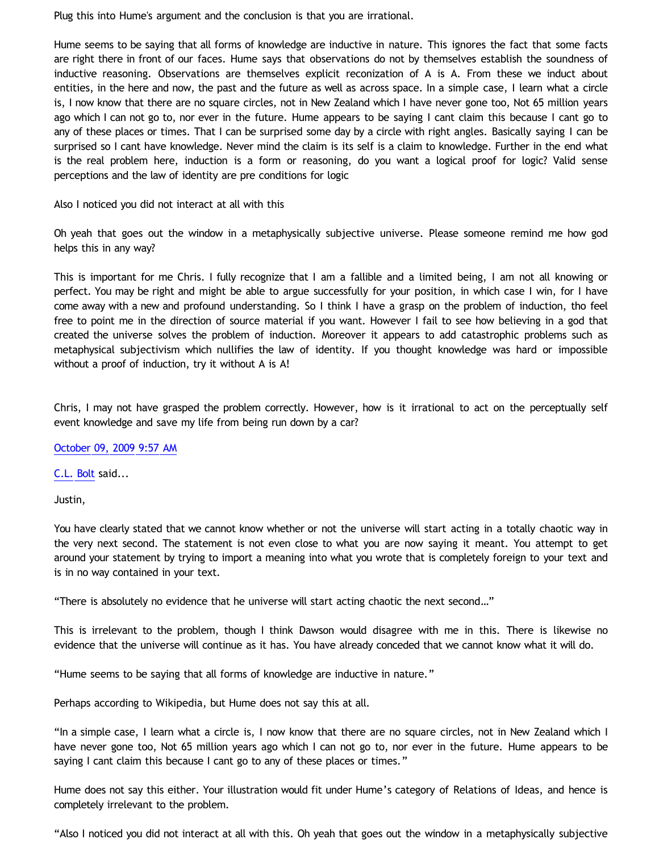Plug this into Hume's argument and the conclusion is that you are irrational.

Hume seems to be saying that all forms of knowledge are inductive in nature. This ignores the fact that some facts are right there in front of our faces. Hume says that observations do not by themselves establish the soundness of inductive reasoning. Observations are themselves explicit reconization of A is A. From these we induct about entities, in the here and now, the past and the future as well as across space. In a simple case, I learn what a circle is, I now know that there are no square circles, not in New Zealand which I have never gone too, Not 65 million years ago which I can not go to, nor ever in the future. Hume appears to be saying I cant claim this because I cant go to any of these places or times. That I can be surprised some day by a circle with right angles. Basically saying I can be surprised so I cant have knowledge. Never mind the claim is its self is a claim to knowledge. Further in the end what is the real problem here, induction is a form or reasoning, do you want a logical proof for logic? Valid sense perceptions and the law of identity are pre conditions for logic

Also I noticed you did not interact at all with this

Oh yeah that goes out the window in a metaphysically subjective universe. Please someone remind me how god helps this in any way?

This is important for me Chris. I fully recognize that I am a fallible and a limited being, I am not all knowing or perfect. You may be right and might be able to argue successfully for your position, in which case I win, for I have come away with a new and profound understanding. So I think I have a grasp on the problem of induction, tho feel free to point me in the direction of source material if you want. However I fail to see how believing in a god that created the universe solves the problem of induction. Moreover it appears to add catastrophic problems such as metaphysical subjectivism which nullifies the law of identity. If you thought knowledge was hard or impossible without a proof of induction, try it without A is A!

Chris, I may not have grasped the problem correctly. However, how is it irrational to act on the perceptually self event knowledge and save my life from being run down by a car?

[October 09, 2009 9:57 AM](http://bahnsenburner.blogspot.com/2009/10/7585409320961646848)

[C.L. Bolt](http://www.blogger.com/profile/15797112064238146744) said...

Justin,

You have clearly stated that we cannot know whether or not the universe will start acting in a totally chaotic way in the very next second. The statement is not even close to what you are now saying it meant. You attempt to get around your statement by trying to import a meaning into what you wrote that is completely foreign to your text and is in no way contained in your text.

"There is absolutely no evidence that he universe will start acting chaotic the next second…"

This is irrelevant to the problem, though I think Dawson would disagree with me in this. There is likewise no evidence that the universe will continue as it has. You have already conceded that we cannot know what it will do.

"Hume seems to be saying that all forms of knowledge are inductive in nature."

Perhaps according to Wikipedia, but Hume does not say this at all.

"In a simple case, I learn what a circle is, I now know that there are no square circles, not in New Zealand which I have never gone too, Not 65 million years ago which I can not go to, nor ever in the future. Hume appears to be saying I cant claim this because I cant go to any of these places or times."

Hume does not say this either. Your illustration would fit under Hume's category of Relations of Ideas, and hence is completely irrelevant to the problem.

"Also I noticed you did not interact at all with this. Oh yeah that goes out the window in a metaphysically subjective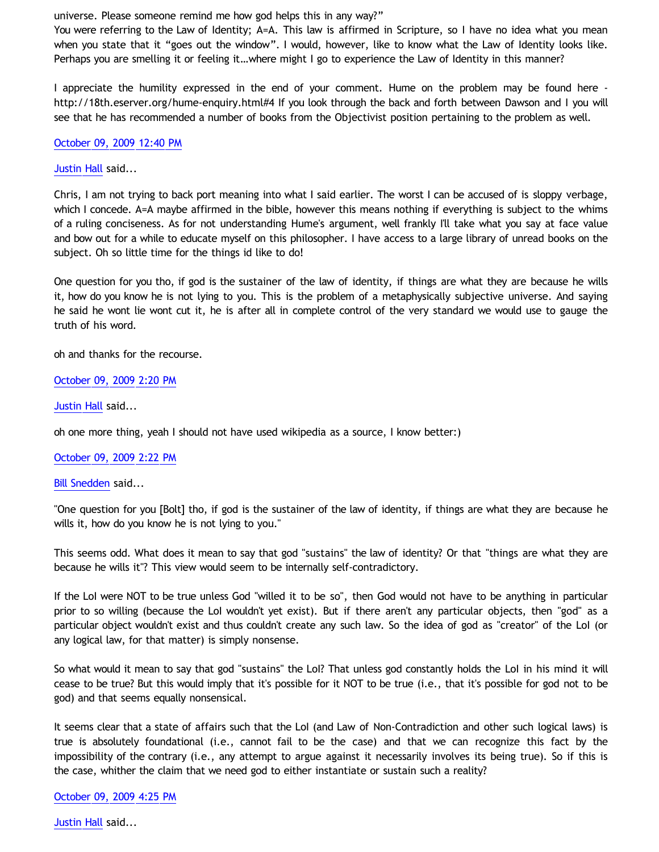universe. Please someone remind me how god helps this in any way?"

You were referring to the Law of Identity; A=A. This law is affirmed in Scripture, so I have no idea what you mean when you state that it "goes out the window". I would, however, like to know what the Law of Identity looks like. Perhaps you are smelling it or feeling it…where might I go to experience the Law of Identity in this manner?

I appreciate the humility expressed in the end of your comment. Hume on the problem may be found here <http://18th.eserver.org/hume-enquiry.html#4> If you look through the back and forth between Dawson and I you will see that he has recommended a number of books from the Objectivist position pertaining to the problem as well.

#### [October 09, 2009 12:40 PM](http://bahnsenburner.blogspot.com/2009/10/6444371351190243767)

# [Justin Hall](http://www.blogger.com/profile/17804641315202800289) said...

Chris, I am not trying to back port meaning into what I said earlier. The worst I can be accused of is sloppy verbage, which I concede. A=A maybe affirmed in the bible, however this means nothing if everything is subject to the whims of a ruling conciseness. As for not understanding Hume's argument, well frankly I'll take what you say at face value and bow out for a while to educate myself on this philosopher. I have access to a large library of unread books on the subject. Oh so little time for the things id like to do!

One question for you tho, if god is the sustainer of the law of identity, if things are what they are because he wills it, how do you know he is not lying to you. This is the problem of a metaphysically subjective universe. And saying he said he wont lie wont cut it, he is after all in complete control of the very standard we would use to gauge the truth of his word.

oh and thanks for the recourse.

# [October 09, 2009 2:20 PM](http://bahnsenburner.blogspot.com/2009/10/7090508428089544710)

[Justin Hall](http://www.blogger.com/profile/17804641315202800289) said...

oh one more thing, yeah I should not have used wikipedia as a source, I know better:)

# [October 09, 2009 2:22 PM](http://bahnsenburner.blogspot.com/2009/10/1040680884335398935)

#### [Bill Snedden](http://www.blogger.com/profile/01860179129919465561) said...

"One question for you [Bolt] tho, if god is the sustainer of the law of identity, if things are what they are because he wills it, how do you know he is not lying to you."

This seems odd. What does it mean to say that god "sustains" the law of identity? Or that "things are what they are because he wills it"? This view would seem to be internally self-contradictory.

If the LoI were NOT to be true unless God "willed it to be so", then God would not have to be anything in particular prior to so willing (because the LoI wouldn't yet exist). But if there aren't any particular objects, then "god" as a particular object wouldn't exist and thus couldn't create any such law. So the idea of god as "creator" of the LoI (or any logical law, for that matter) is simply nonsense.

So what would it mean to say that god "sustains" the LoI? That unless god constantly holds the LoI in his mind it will cease to be true? But this would imply that it's possible for it NOT to be true (i.e., that it's possible for god not to be god) and that seems equally nonsensical.

It seems clear that a state of affairs such that the LoI (and Law of Non-Contradiction and other such logical laws) is true is absolutely foundational (i.e., cannot fail to be the case) and that we can recognize this fact by the impossibility of the contrary (i.e., any attempt to argue against it necessarily involves its being true). So if this is the case, whither the claim that we need god to either instantiate or sustain such a reality?

#### [October 09, 2009 4:25 PM](http://bahnsenburner.blogspot.com/2009/10/6391559794719935550)

[Justin Hall](http://www.blogger.com/profile/17804641315202800289) said...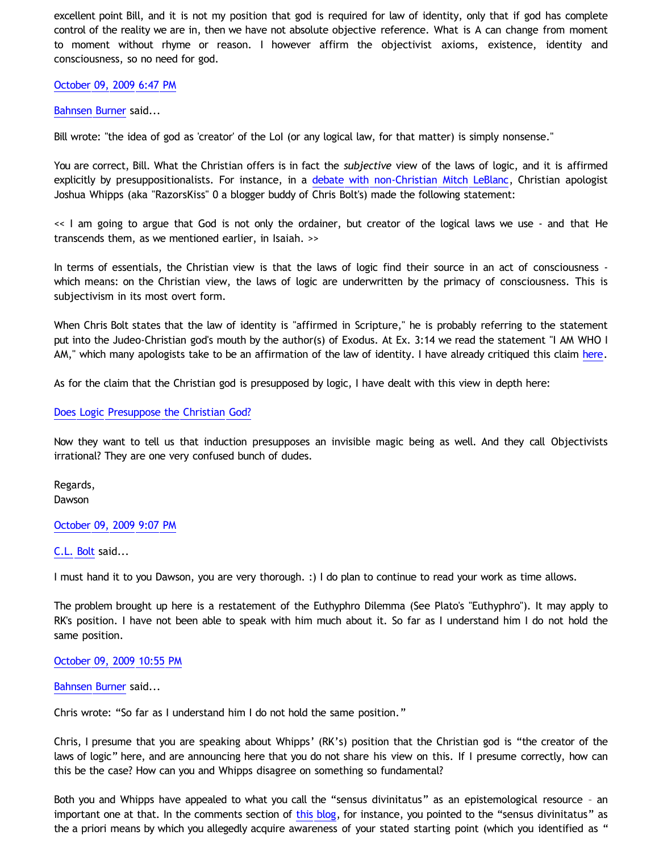excellent point Bill, and it is not my position that god is required for law of identity, only that if god has complete control of the reality we are in, then we have not absolute objective reference. What is A can change from moment to moment without rhyme or reason. I however affirm the objectivist axioms, existence, identity and consciousness, so no need for god.

# [October 09, 2009 6:47 PM](http://bahnsenburner.blogspot.com/2009/10/6163697452777106319)

# [Bahnsen Burner](http://www.blogger.com/profile/11030029491768748360) said...

Bill wrote: "the idea of god as 'creator' of the LoI (or any logical law, for that matter) is simply nonsense."

You are correct, Bill. What the Christian offers is in fact the *subjective* view of the laws of logic, and it is affirmed explicitly by presuppositionalists. For instance, in a [debate with non-Christian Mitch LeBlanc](http://razorskiss.net/wp/2009/08/08/debate-transcript/), Christian apologist Joshua Whipps (aka "RazorsKiss" 0 a blogger buddy of Chris Bolt's) made the following statement:

<< I am going to argue that God is not only the ordainer, but creator of the logical laws we use - and that He transcends them, as we mentioned earlier, in Isaiah. >>

In terms of essentials, the Christian view is that the laws of logic find their source in an act of consciousness which means: on the Christian view, the laws of logic are underwritten by the primacy of consciousness. This is subjectivism in its most overt form.

When Chris Bolt states that the law of identity is "affirmed in Scripture," he is probably referring to the statement put into the Judeo-Christian god's mouth by the author(s) of Exodus. At Ex. 3:14 we read the statement "I AM WHO I AM," which many apologists take to be an affirmation of the law of identity. I have already critiqued this claim [here](http://bahnsenburner.blogspot.com/2009/08/razorskiss-on-christian-god-as-basis-of_21.html).

As for the claim that the Christian god is presupposed by logic, I have dealt with this view in depth here:

# [Does Logic Presuppose the Christian God?](http://katholon.com/Logic.htm)

Now they want to tell us that induction presupposes an invisible magic being as well. And they call Objectivists irrational? They are one very confused bunch of dudes.

Regards, Dawson

#### [October 09, 2009 9:07 PM](http://bahnsenburner.blogspot.com/2009/10/2211789255634272219)

[C.L. Bolt](http://www.blogger.com/profile/15797112064238146744) said...

I must hand it to you Dawson, you are very thorough. :) I do plan to continue to read your work as time allows.

The problem brought up here is a restatement of the Euthyphro Dilemma (See Plato's "Euthyphro"). It may apply to RK's position. I have not been able to speak with him much about it. So far as I understand him I do not hold the same position.

#### [October 09, 2009 10:55 PM](http://bahnsenburner.blogspot.com/2009/10/610372082239456310)

#### [Bahnsen Burner](http://www.blogger.com/profile/11030029491768748360) said...

Chris wrote: "So far as I understand him I do not hold the same position."

Chris, I presume that you are speaking about Whipps' (RK's) position that the Christian god is "the creator of the laws of logic" here, and are announcing here that you do not share his view on this. If I presume correctly, how can this be the case? How can you and Whipps disagree on something so fundamental?

Both you and Whipps have appealed to what you call the "sensus divinitatus" as an epistemological resource – an important one at that. In the comments section of [this blog,](http://choosinghats.blogspot.com/2009/07/friendly-chat-in-simple-terms.html) for instance, you pointed to the "sensus divinitatus" as the a priori means by which you allegedly acquire awareness of your stated starting point (which you identified as "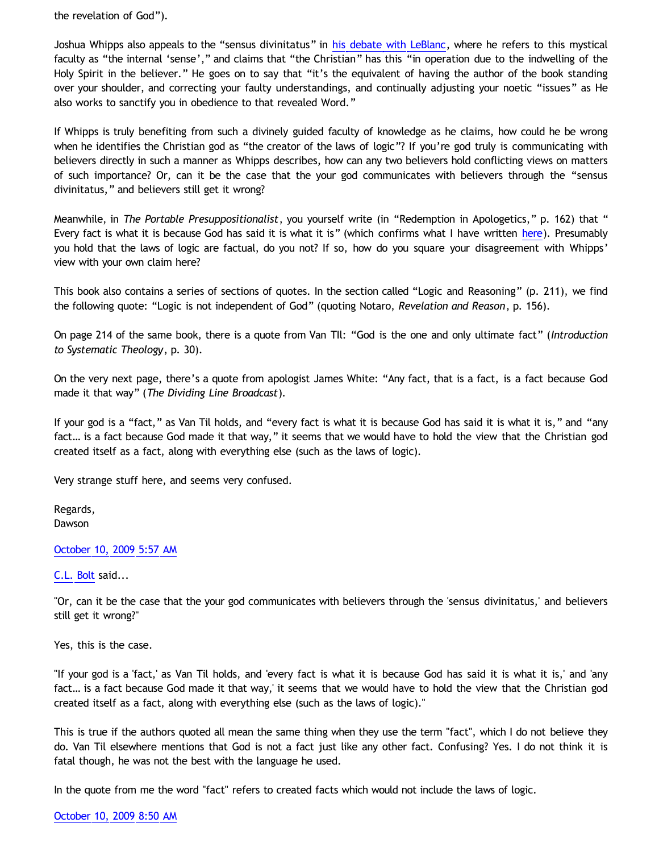the revelation of God").

Joshua Whipps also appeals to the "sensus divinitatus" in [his debate with LeBlanc,](http://razorskiss.net/wp/2009/08/08/debate-transcript/) where he refers to this mystical faculty as "the internal 'sense'," and claims that "the Christian" has this "in operation due to the indwelling of the Holy Spirit in the believer." He goes on to say that "it's the equivalent of having the author of the book standing over your shoulder, and correcting your faulty understandings, and continually adjusting your noetic "issues" as He also works to sanctify you in obedience to that revealed Word."

If Whipps is truly benefiting from such a divinely guided faculty of knowledge as he claims, how could he be wrong when he identifies the Christian god as "the creator of the laws of logic"? If you're god truly is communicating with believers directly in such a manner as Whipps describes, how can any two believers hold conflicting views on matters of such importance? Or, can it be the case that the your god communicates with believers through the "sensus divinitatus," and believers still get it wrong?

Meanwhile, in *The Portable Presuppositionalist*, you yourself write (in "Redemption in Apologetics," p. 162) that " Every fact is what it is because God has said it is what it is" (which confirms what I have written [here\)](http://bahnsenburner.blogspot.com/2008/11/rival-philosophies-of-fact.html). Presumably you hold that the laws of logic are factual, do you not? If so, how do you square your disagreement with Whipps' view with your own claim here?

This book also contains a series of sections of quotes. In the section called "Logic and Reasoning" (p. 211), we find the following quote: "Logic is not independent of God" (quoting Notaro, *Revelation and Reason*, p. 156).

On page 214 of the same book, there is a quote from Van TIl: "God is the one and only ultimate fact" (*Introduction to Systematic Theology*, p. 30).

On the very next page, there's a quote from apologist James White: "Any fact, that is a fact, is a fact because God made it that way" (*The Dividing Line Broadcast*).

If your god is a "fact," as Van Til holds, and "every fact is what it is because God has said it is what it is," and "any fact… is a fact because God made it that way," it seems that we would have to hold the view that the Christian god created itself as a fact, along with everything else (such as the laws of logic).

Very strange stuff here, and seems very confused.

Regards, Dawson

[October 10, 2009 5:57 AM](http://bahnsenburner.blogspot.com/2009/10/1990651318447281162)

[C.L. Bolt](http://www.blogger.com/profile/15797112064238146744) said...

"Or, can it be the case that the your god communicates with believers through the 'sensus divinitatus,' and believers still get it wrong?"

Yes, this is the case.

"If your god is a 'fact,' as Van Til holds, and 'every fact is what it is because God has said it is what it is,' and 'any fact… is a fact because God made it that way,' it seems that we would have to hold the view that the Christian god created itself as a fact, along with everything else (such as the laws of logic)."

This is true if the authors quoted all mean the same thing when they use the term "fact", which I do not believe they do. Van Til elsewhere mentions that God is not a fact just like any other fact. Confusing? Yes. I do not think it is fatal though, he was not the best with the language he used.

In the quote from me the word "fact" refers to created facts which would not include the laws of logic.

[October 10, 2009 8:50 AM](http://bahnsenburner.blogspot.com/2009/10/7439190220461082539)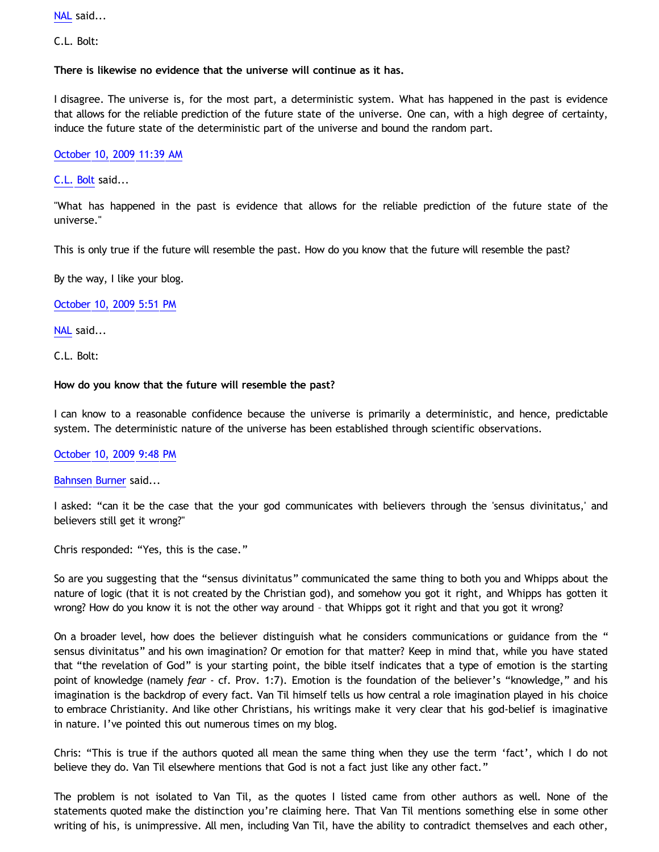[NAL](http://www.blogger.com/profile/12244370945682162312) said...

C.L. Bolt:

**There is likewise no evidence that the universe will continue as it has.**

I disagree. The universe is, for the most part, a deterministic system. What has happened in the past is evidence that allows for the reliable prediction of the future state of the universe. One can, with a high degree of certainty, induce the future state of the deterministic part of the universe and bound the random part.

# [October 10, 2009 11:39 AM](http://bahnsenburner.blogspot.com/2009/10/4696659222331310077)

[C.L. Bolt](http://www.blogger.com/profile/15797112064238146744) said...

"What has happened in the past is evidence that allows for the reliable prediction of the future state of the universe."

This is only true if the future will resemble the past. How do you know that the future will resemble the past?

By the way, I like your blog.

[October 10, 2009 5:51 PM](http://bahnsenburner.blogspot.com/2009/10/5683274518553353266)

[NAL](http://www.blogger.com/profile/12244370945682162312) said...

C.L. Bolt:

#### **How do you know that the future will resemble the past?**

I can know to a reasonable confidence because the universe is primarily a deterministic, and hence, predictable system. The deterministic nature of the universe has been established through scientific observations.

#### [October 10, 2009 9:48 PM](http://bahnsenburner.blogspot.com/2009/10/6811044175490521733)

[Bahnsen Burner](http://www.blogger.com/profile/11030029491768748360) said...

I asked: "can it be the case that the your god communicates with believers through the 'sensus divinitatus,' and believers still get it wrong?"

Chris responded: "Yes, this is the case."

So are you suggesting that the "sensus divinitatus" communicated the same thing to both you and Whipps about the nature of logic (that it is not created by the Christian god), and somehow you got it right, and Whipps has gotten it wrong? How do you know it is not the other way around – that Whipps got it right and that you got it wrong?

On a broader level, how does the believer distinguish what he considers communications or guidance from the " sensus divinitatus" and his own imagination? Or emotion for that matter? Keep in mind that, while you have stated that "the revelation of God" is your starting point, the bible itself indicates that a type of emotion is the starting point of knowledge (namely *fear* - cf. Prov. 1:7). Emotion is the foundation of the believer's "knowledge," and his imagination is the backdrop of every fact. Van Til himself tells us how central a role imagination played in his choice to embrace Christianity. And like other Christians, his writings make it very clear that his god-belief is imaginative in nature. I've pointed this out numerous times on my blog.

Chris: "This is true if the authors quoted all mean the same thing when they use the term 'fact', which I do not believe they do. Van Til elsewhere mentions that God is not a fact just like any other fact."

The problem is not isolated to Van Til, as the quotes I listed came from other authors as well. None of the statements quoted make the distinction you're claiming here. That Van Til mentions something else in some other writing of his, is unimpressive. All men, including Van Til, have the ability to contradict themselves and each other,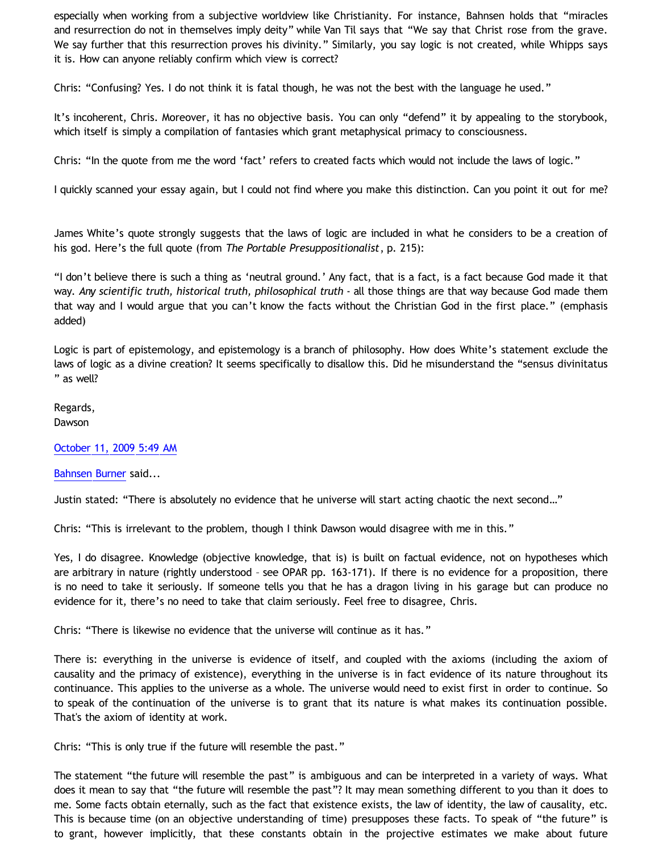especially when working from a subjective worldview like Christianity. For instance, Bahnsen holds that "miracles and resurrection do not in themselves imply deity" while Van Til says that "We say that Christ rose from the grave. We say further that this resurrection proves his divinity." Similarly, you say logic is not created, while Whipps says it is. How can anyone reliably confirm which view is correct?

Chris: "Confusing? Yes. I do not think it is fatal though, he was not the best with the language he used."

It's incoherent, Chris. Moreover, it has no objective basis. You can only "defend" it by appealing to the storybook, which itself is simply a compilation of fantasies which grant metaphysical primacy to consciousness.

Chris: "In the quote from me the word 'fact' refers to created facts which would not include the laws of logic."

I quickly scanned your essay again, but I could not find where you make this distinction. Can you point it out for me?

James White's quote strongly suggests that the laws of logic are included in what he considers to be a creation of his god. Here's the full quote (from *The Portable Presuppositionalist*, p. 215):

"I don't believe there is such a thing as 'neutral ground.' Any fact, that is a fact, is a fact because God made it that way. *Any scientific truth, historical truth, philosophical truth* - all those things are that way because God made them that way and I would argue that you can't know the facts without the Christian God in the first place." (emphasis added)

Logic is part of epistemology, and epistemology is a branch of philosophy. How does White's statement exclude the laws of logic as a divine creation? It seems specifically to disallow this. Did he misunderstand the "sensus divinitatus " as well?

Regards, Dawson

[October 11, 2009 5:49 AM](http://bahnsenburner.blogspot.com/2009/10/6302015148419044602)

[Bahnsen Burner](http://www.blogger.com/profile/11030029491768748360) said...

Justin stated: "There is absolutely no evidence that he universe will start acting chaotic the next second…"

Chris: "This is irrelevant to the problem, though I think Dawson would disagree with me in this."

Yes, I do disagree. Knowledge (objective knowledge, that is) is built on factual evidence, not on hypotheses which are arbitrary in nature (rightly understood – see OPAR pp. 163-171). If there is no evidence for a proposition, there is no need to take it seriously. If someone tells you that he has a dragon living in his garage but can produce no evidence for it, there's no need to take that claim seriously. Feel free to disagree, Chris.

Chris: "There is likewise no evidence that the universe will continue as it has."

There is: everything in the universe is evidence of itself, and coupled with the axioms (including the axiom of causality and the primacy of existence), everything in the universe is in fact evidence of its nature throughout its continuance. This applies to the universe as a whole. The universe would need to exist first in order to continue. So to speak of the continuation of the universe is to grant that its nature is what makes its continuation possible. That's the axiom of identity at work.

Chris: "This is only true if the future will resemble the past."

The statement "the future will resemble the past" is ambiguous and can be interpreted in a variety of ways. What does it mean to say that "the future will resemble the past"? It may mean something different to you than it does to me. Some facts obtain eternally, such as the fact that existence exists, the law of identity, the law of causality, etc. This is because time (on an objective understanding of time) presupposes these facts. To speak of "the future" is to grant, however implicitly, that these constants obtain in the projective estimates we make about future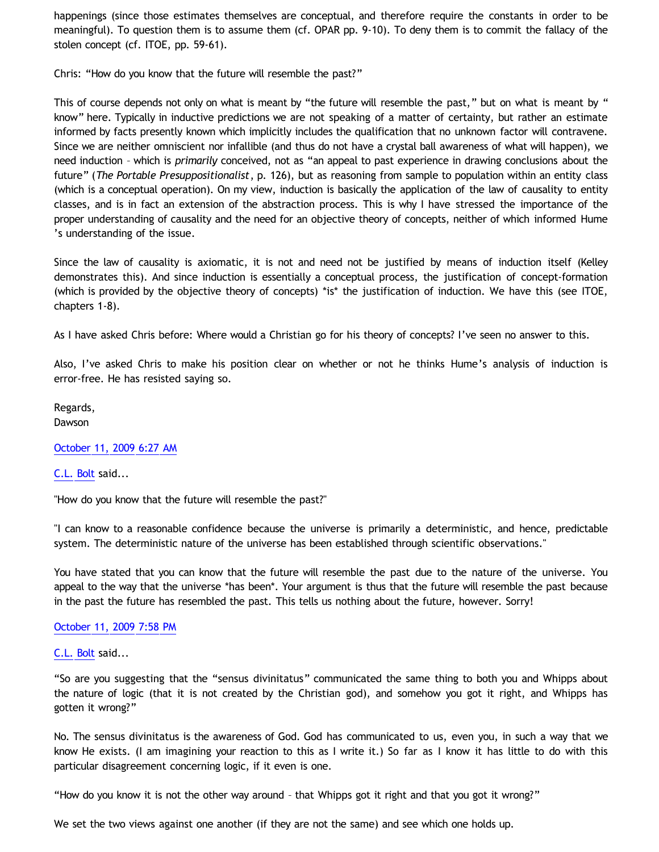happenings (since those estimates themselves are conceptual, and therefore require the constants in order to be meaningful). To question them is to assume them (cf. OPAR pp. 9-10). To deny them is to commit the fallacy of the stolen concept (cf. ITOE, pp. 59-61).

Chris: "How do you know that the future will resemble the past?"

This of course depends not only on what is meant by "the future will resemble the past," but on what is meant by " know" here. Typically in inductive predictions we are not speaking of a matter of certainty, but rather an estimate informed by facts presently known which implicitly includes the qualification that no unknown factor will contravene. Since we are neither omniscient nor infallible (and thus do not have a crystal ball awareness of what will happen), we need induction – which is *primarily* conceived, not as "an appeal to past experience in drawing conclusions about the future" (*The Portable Presuppositionalist*, p. 126), but as reasoning from sample to population within an entity class (which is a conceptual operation). On my view, induction is basically the application of the law of causality to entity classes, and is in fact an extension of the abstraction process. This is why I have stressed the importance of the proper understanding of causality and the need for an objective theory of concepts, neither of which informed Hume 's understanding of the issue.

Since the law of causality is axiomatic, it is not and need not be justified by means of induction itself (Kelley demonstrates this). And since induction is essentially a conceptual process, the justification of concept-formation (which is provided by the objective theory of concepts) \*is\* the justification of induction. We have this (see ITOE, chapters 1-8).

As I have asked Chris before: Where would a Christian go for his theory of concepts? I've seen no answer to this.

Also, I've asked Chris to make his position clear on whether or not he thinks Hume's analysis of induction is error-free. He has resisted saying so.

Regards, Dawson

[October 11, 2009 6:27 AM](http://bahnsenburner.blogspot.com/2009/10/6941105460944559917)

[C.L. Bolt](http://www.blogger.com/profile/15797112064238146744) said...

"How do you know that the future will resemble the past?"

"I can know to a reasonable confidence because the universe is primarily a deterministic, and hence, predictable system. The deterministic nature of the universe has been established through scientific observations."

You have stated that you can know that the future will resemble the past due to the nature of the universe. You appeal to the way that the universe \*has been\*. Your argument is thus that the future will resemble the past because in the past the future has resembled the past. This tells us nothing about the future, however. Sorry!

[October 11, 2009 7:58 PM](http://bahnsenburner.blogspot.com/2009/10/4335969079428283513)

[C.L. Bolt](http://www.blogger.com/profile/15797112064238146744) said...

"So are you suggesting that the "sensus divinitatus" communicated the same thing to both you and Whipps about the nature of logic (that it is not created by the Christian god), and somehow you got it right, and Whipps has gotten it wrong?"

No. The sensus divinitatus is the awareness of God. God has communicated to us, even you, in such a way that we know He exists. (I am imagining your reaction to this as I write it.) So far as I know it has little to do with this particular disagreement concerning logic, if it even is one.

"How do you know it is not the other way around – that Whipps got it right and that you got it wrong?"

We set the two views against one another (if they are not the same) and see which one holds up.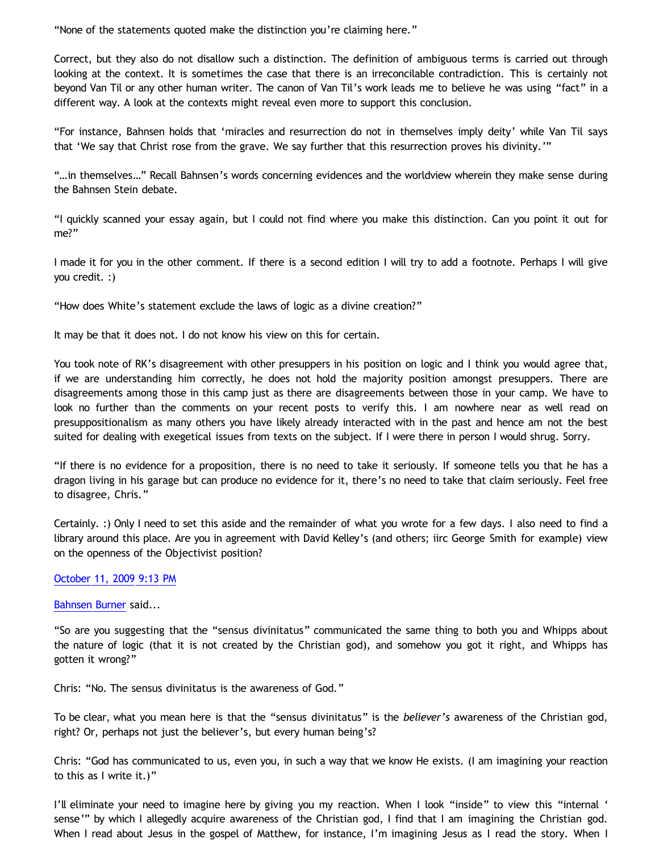"None of the statements quoted make the distinction you're claiming here."

Correct, but they also do not disallow such a distinction. The definition of ambiguous terms is carried out through looking at the context. It is sometimes the case that there is an irreconcilable contradiction. This is certainly not beyond Van Til or any other human writer. The canon of Van Til's work leads me to believe he was using "fact" in a different way. A look at the contexts might reveal even more to support this conclusion.

"For instance, Bahnsen holds that 'miracles and resurrection do not in themselves imply deity' while Van Til says that 'We say that Christ rose from the grave. We say further that this resurrection proves his divinity.'"

"…in themselves…" Recall Bahnsen's words concerning evidences and the worldview wherein they make sense during the Bahnsen Stein debate.

"I quickly scanned your essay again, but I could not find where you make this distinction. Can you point it out for me?"

I made it for you in the other comment. If there is a second edition I will try to add a footnote. Perhaps I will give you credit. :)

"How does White's statement exclude the laws of logic as a divine creation?"

It may be that it does not. I do not know his view on this for certain.

You took note of RK's disagreement with other presuppers in his position on logic and I think you would agree that, if we are understanding him correctly, he does not hold the majority position amongst presuppers. There are disagreements among those in this camp just as there are disagreements between those in your camp. We have to look no further than the comments on your recent posts to verify this. I am nowhere near as well read on presuppositionalism as many others you have likely already interacted with in the past and hence am not the best suited for dealing with exegetical issues from texts on the subject. If I were there in person I would shrug. Sorry.

"If there is no evidence for a proposition, there is no need to take it seriously. If someone tells you that he has a dragon living in his garage but can produce no evidence for it, there's no need to take that claim seriously. Feel free to disagree, Chris."

Certainly. :) Only I need to set this aside and the remainder of what you wrote for a few days. I also need to find a library around this place. Are you in agreement with David Kelley's (and others; iirc George Smith for example) view on the openness of the Objectivist position?

#### [October 11, 2009 9:13 PM](http://bahnsenburner.blogspot.com/2009/10/4498131799808713245)

[Bahnsen Burner](http://www.blogger.com/profile/11030029491768748360) said...

"So are you suggesting that the "sensus divinitatus" communicated the same thing to both you and Whipps about the nature of logic (that it is not created by the Christian god), and somehow you got it right, and Whipps has gotten it wrong?"

Chris: "No. The sensus divinitatus is the awareness of God."

To be clear, what you mean here is that the "sensus divinitatus" is the *believer's* awareness of the Christian god, right? Or, perhaps not just the believer's, but every human being's?

Chris: "God has communicated to us, even you, in such a way that we know He exists. (I am imagining your reaction to this as I write it.)"

I'll eliminate your need to imagine here by giving you my reaction. When I look "inside" to view this "internal ' sense'" by which I allegedly acquire awareness of the Christian god, I find that I am imagining the Christian god. When I read about Jesus in the gospel of Matthew, for instance, I'm imagining Jesus as I read the story. When I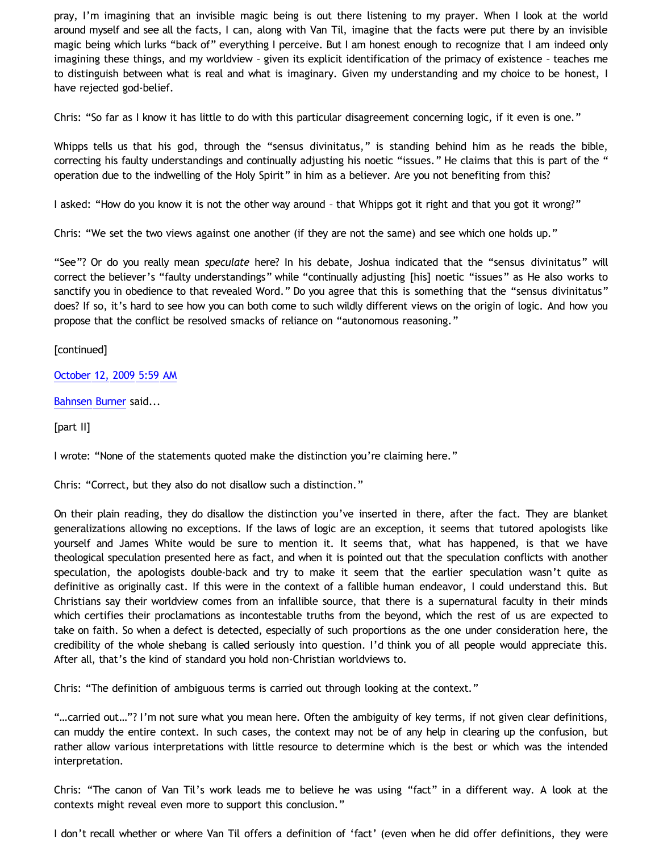pray, I'm imagining that an invisible magic being is out there listening to my prayer. When I look at the world around myself and see all the facts, I can, along with Van Til, imagine that the facts were put there by an invisible magic being which lurks "back of" everything I perceive. But I am honest enough to recognize that I am indeed only imagining these things, and my worldview – given its explicit identification of the primacy of existence – teaches me to distinguish between what is real and what is imaginary. Given my understanding and my choice to be honest, I have rejected god-belief.

Chris: "So far as I know it has little to do with this particular disagreement concerning logic, if it even is one."

Whipps tells us that his god, through the "sensus divinitatus," is standing behind him as he reads the bible, correcting his faulty understandings and continually adjusting his noetic "issues." He claims that this is part of the " operation due to the indwelling of the Holy Spirit" in him as a believer. Are you not benefiting from this?

I asked: "How do you know it is not the other way around – that Whipps got it right and that you got it wrong?"

Chris: "We set the two views against one another (if they are not the same) and see which one holds up."

"See"? Or do you really mean *speculate* here? In his debate, Joshua indicated that the "sensus divinitatus" will correct the believer's "faulty understandings" while "continually adjusting [his] noetic "issues" as He also works to sanctify you in obedience to that revealed Word." Do you agree that this is something that the "sensus divinitatus" does? If so, it's hard to see how you can both come to such wildly different views on the origin of logic. And how you propose that the conflict be resolved smacks of reliance on "autonomous reasoning."

[continued]

[October 12, 2009 5:59 AM](http://bahnsenburner.blogspot.com/2009/10/2391635788573528053)

[Bahnsen Burner](http://www.blogger.com/profile/11030029491768748360) said...

[part II]

I wrote: "None of the statements quoted make the distinction you're claiming here."

Chris: "Correct, but they also do not disallow such a distinction."

On their plain reading, they do disallow the distinction you've inserted in there, after the fact. They are blanket generalizations allowing no exceptions. If the laws of logic are an exception, it seems that tutored apologists like yourself and James White would be sure to mention it. It seems that, what has happened, is that we have theological speculation presented here as fact, and when it is pointed out that the speculation conflicts with another speculation, the apologists double-back and try to make it seem that the earlier speculation wasn't quite as definitive as originally cast. If this were in the context of a fallible human endeavor, I could understand this. But Christians say their worldview comes from an infallible source, that there is a supernatural faculty in their minds which certifies their proclamations as incontestable truths from the beyond, which the rest of us are expected to take on faith. So when a defect is detected, especially of such proportions as the one under consideration here, the credibility of the whole shebang is called seriously into question. I'd think you of all people would appreciate this. After all, that's the kind of standard you hold non-Christian worldviews to.

Chris: "The definition of ambiguous terms is carried out through looking at the context."

"...carried out..."? I'm not sure what you mean here. Often the ambiguity of key terms, if not given clear definitions, can muddy the entire context. In such cases, the context may not be of any help in clearing up the confusion, but rather allow various interpretations with little resource to determine which is the best or which was the intended interpretation.

Chris: "The canon of Van Til's work leads me to believe he was using "fact" in a different way. A look at the contexts might reveal even more to support this conclusion."

I don't recall whether or where Van Til offers a definition of 'fact' (even when he did offer definitions, they were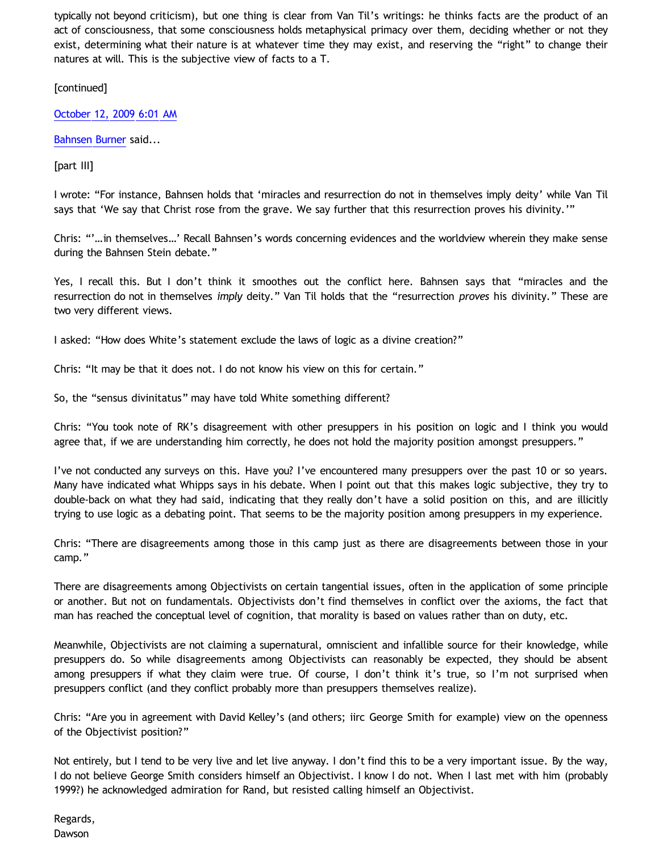typically not beyond criticism), but one thing is clear from Van Til's writings: he thinks facts are the product of an act of consciousness, that some consciousness holds metaphysical primacy over them, deciding whether or not they exist, determining what their nature is at whatever time they may exist, and reserving the "right" to change their natures at will. This is the subjective view of facts to a T.

[continued]

[October 12, 2009 6:01 AM](http://bahnsenburner.blogspot.com/2009/10/2155220234402557869)

[Bahnsen Burner](http://www.blogger.com/profile/11030029491768748360) said...

[part III]

I wrote: "For instance, Bahnsen holds that 'miracles and resurrection do not in themselves imply deity' while Van Til says that 'We say that Christ rose from the grave. We say further that this resurrection proves his divinity.'"

Chris: "'…in themselves…' Recall Bahnsen's words concerning evidences and the worldview wherein they make sense during the Bahnsen Stein debate."

Yes, I recall this. But I don't think it smoothes out the conflict here. Bahnsen says that "miracles and the resurrection do not in themselves *imply* deity." Van Til holds that the "resurrection *proves* his divinity." These are two very different views.

I asked: "How does White's statement exclude the laws of logic as a divine creation?"

Chris: "It may be that it does not. I do not know his view on this for certain."

So, the "sensus divinitatus" may have told White something different?

Chris: "You took note of RK's disagreement with other presuppers in his position on logic and I think you would agree that, if we are understanding him correctly, he does not hold the majority position amongst presuppers."

I've not conducted any surveys on this. Have you? I've encountered many presuppers over the past 10 or so years. Many have indicated what Whipps says in his debate. When I point out that this makes logic subjective, they try to double-back on what they had said, indicating that they really don't have a solid position on this, and are illicitly trying to use logic as a debating point. That seems to be the majority position among presuppers in my experience.

Chris: "There are disagreements among those in this camp just as there are disagreements between those in your camp."

There are disagreements among Objectivists on certain tangential issues, often in the application of some principle or another. But not on fundamentals. Objectivists don't find themselves in conflict over the axioms, the fact that man has reached the conceptual level of cognition, that morality is based on values rather than on duty, etc.

Meanwhile, Objectivists are not claiming a supernatural, omniscient and infallible source for their knowledge, while presuppers do. So while disagreements among Objectivists can reasonably be expected, they should be absent among presuppers if what they claim were true. Of course, I don't think it's true, so I'm not surprised when presuppers conflict (and they conflict probably more than presuppers themselves realize).

Chris: "Are you in agreement with David Kelley's (and others; iirc George Smith for example) view on the openness of the Objectivist position?"

Not entirely, but I tend to be very live and let live anyway. I don't find this to be a very important issue. By the way, I do not believe George Smith considers himself an Objectivist. I know I do not. When I last met with him (probably 1999?) he acknowledged admiration for Rand, but resisted calling himself an Objectivist.

Regards, Dawson